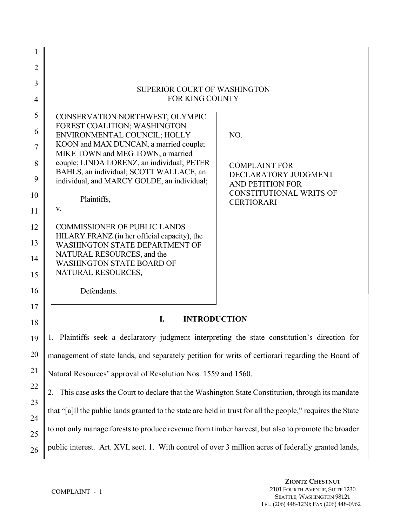| 1              |                                                                                                             |                                                     |
|----------------|-------------------------------------------------------------------------------------------------------------|-----------------------------------------------------|
| $\overline{2}$ |                                                                                                             |                                                     |
| 3              |                                                                                                             |                                                     |
| $\overline{4}$ | <b>SUPERIOR COURT OF WASHINGTON</b><br><b>FOR KING COUNTY</b>                                               |                                                     |
| 5              | CONSERVATION NORTHWEST; OLYMPIC                                                                             |                                                     |
| 6              | FOREST COALITION; WASHINGTON<br>ENVIRONMENTAL COUNCIL; HOLLY                                                | NO.                                                 |
| $\tau$         | KOON and MAX DUNCAN, a married couple;<br>MIKE TOWN and MEG TOWN, a married                                 |                                                     |
| 8              | couple; LINDA LORENZ, an individual; PETER                                                                  | <b>COMPLAINT FOR</b>                                |
| 9              | BAHLS, an individual; SCOTT WALLACE, an<br>individual, and MARCY GOLDE, an individual;                      | DECLARATORY JUDGMENT<br><b>AND PETITION FOR</b>     |
| 10             | Plaintiffs,                                                                                                 | <b>CONSTITUTIONAL WRITS OF</b><br><b>CERTIORARI</b> |
| 11             | V.                                                                                                          |                                                     |
| 12             | <b>COMMISSIONER OF PUBLIC LANDS</b>                                                                         |                                                     |
| 13             | HILARY FRANZ (in her official capacity), the<br>WASHINGTON STATE DEPARTMENT OF                              |                                                     |
| 14             | NATURAL RESOURCES, and the<br><b>WASHINGTON STATE BOARD OF</b>                                              |                                                     |
| 15             | NATURAL RESOURCES,                                                                                          |                                                     |
| 16             | Defendants.                                                                                                 |                                                     |
| 17             |                                                                                                             |                                                     |
| 18             | I.<br><b>INTRODUCTION</b>                                                                                   |                                                     |
| 19             | Plaintiffs seek a declaratory judgment interpreting the state constitution's direction for<br>1.            |                                                     |
| 20             | management of state lands, and separately petition for writs of certiorari regarding the Board of           |                                                     |
| 21             | Natural Resources' approval of Resolution Nos. 1559 and 1560.                                               |                                                     |
| 22             | This case asks the Court to declare that the Washington State Constitution, through its mandate<br>2.       |                                                     |
| 23             | that "[a]ll the public lands granted to the state are held in trust for all the people," requires the State |                                                     |
| 24<br>25       | to not only manage forests to produce revenue from timber harvest, but also to promote the broader          |                                                     |
| 26             | public interest. Art. XVI, sect. 1. With control of over 3 million acres of federally granted lands,        |                                                     |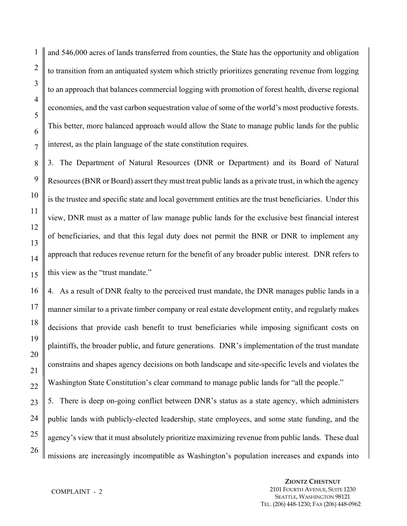and 546,000 acres of lands transferred from counties, the State has the opportunity and obligation to transition from an antiquated system which strictly prioritizes generating revenue from logging to an approach that balances commercial logging with promotion of forest health, diverse regional economies, and the vast carbon sequestration value of some of the world's most productive forests. This better, more balanced approach would allow the State to manage public lands for the public interest, as the plain language of the state constitution requires.

3. The Department of Natural Resources (DNR or Department) and its Board of Natural Resources (BNR or Board) assert they must treat public lands as a private trust, in which the agency is the trustee and specific state and local government entities are the trust beneficiaries. Under this view, DNR must as a matter of law manage public lands for the exclusive best financial interest of beneficiaries, and that this legal duty does not permit the BNR or DNR to implement any approach that reduces revenue return for the benefit of any broader public interest. DNR refers to this view as the "trust mandate."

4. As a result of DNR fealty to the perceived trust mandate, the DNR manages public lands in a manner similar to a private timber company or real estate development entity, and regularly makes decisions that provide cash benefit to trust beneficiaries while imposing significant costs on plaintiffs, the broader public, and future generations. DNR's implementation of the trust mandate constrains and shapes agency decisions on both landscape and site-specific levels and violates the Washington State Constitution's clear command to manage public lands for "all the people." 5. There is deep on-going conflict between DNR's status as a state agency, which administers public lands with publicly-elected leadership, state employees, and some state funding, and the agency's view that it must absolutely prioritize maximizing revenue from public lands. These dual missions are increasingly incompatible as Washington's population increases and expands into

# COMPLAINT - 2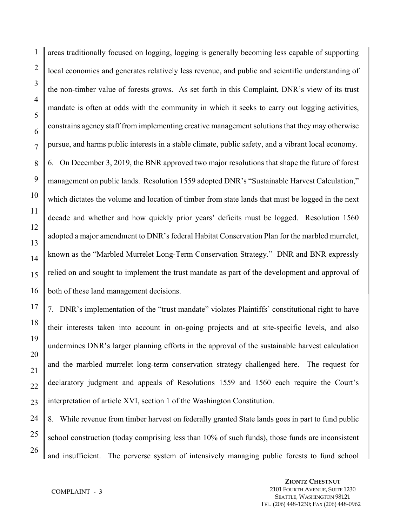areas traditionally focused on logging, logging is generally becoming less capable of supporting local economies and generates relatively less revenue, and public and scientific understanding of the non-timber value of forests grows. As set forth in this Complaint, DNR's view of its trust mandate is often at odds with the community in which it seeks to carry out logging activities, constrains agency staff from implementing creative management solutions that they may otherwise pursue, and harms public interests in a stable climate, public safety, and a vibrant local economy. 6. On December 3, 2019, the BNR approved two major resolutions that shape the future of forest management on public lands. Resolution 1559 adopted DNR's "Sustainable Harvest Calculation," which dictates the volume and location of timber from state lands that must be logged in the next decade and whether and how quickly prior years' deficits must be logged. Resolution 1560 adopted a major amendment to DNR's federal Habitat Conservation Plan for the marbled murrelet, known as the "Marbled Murrelet Long-Term Conservation Strategy." DNR and BNR expressly relied on and sought to implement the trust mandate as part of the development and approval of both of these land management decisions.

7. DNR's implementation of the "trust mandate" violates Plaintiffs' constitutional right to have their interests taken into account in on-going projects and at site-specific levels, and also undermines DNR's larger planning efforts in the approval of the sustainable harvest calculation and the marbled murrelet long-term conservation strategy challenged here. The request for declaratory judgment and appeals of Resolutions 1559 and 1560 each require the Court's interpretation of article XVI, section 1 of the Washington Constitution.

24 25 26 8. While revenue from timber harvest on federally granted State lands goes in part to fund public school construction (today comprising less than 10% of such funds), those funds are inconsistent and insufficient. The perverse system of intensively managing public forests to fund school

1

2

3

4

5

6

7

8

9

10

11

12

13

14

15

16

17

18

19

20

21

22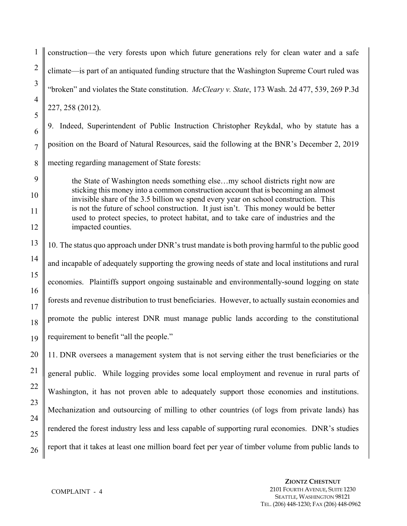construction—the very forests upon which future generations rely for clean water and a safe climate—is part of an antiquated funding structure that the Washington Supreme Court ruled was "broken" and violates the State constitution. *McCleary v. State*, 173 Wash. 2d 477, 539, 269 P.3d 227, 258 (2012).

9. Indeed, Superintendent of Public Instruction Christopher Reykdal, who by statute has a position on the Board of Natural Resources, said the following at the BNR's December 2, 2019 meeting regarding management of State forests:

the State of Washington needs something else…my school districts right now are sticking this money into a common construction account that is becoming an almost invisible share of the 3.5 billion we spend every year on school construction. This is not the future of school construction. It just isn't. This money would be better used to protect species, to protect habitat, and to take care of industries and the impacted counties.

10. The status quo approach under DNR's trust mandate is both proving harmful to the public good and incapable of adequately supporting the growing needs of state and local institutions and rural economies. Plaintiffs support ongoing sustainable and environmentally-sound logging on state forests and revenue distribution to trust beneficiaries. However, to actually sustain economies and promote the public interest DNR must manage public lands according to the constitutional requirement to benefit "all the people."

11. DNR oversees a management system that is not serving either the trust beneficiaries or the general public. While logging provides some local employment and revenue in rural parts of Washington, it has not proven able to adequately support those economies and institutions. Mechanization and outsourcing of milling to other countries (of logs from private lands) has rendered the forest industry less and less capable of supporting rural economies. DNR's studies report that it takes at least one million board feet per year of timber volume from public lands to

1

2

3

4

5

6

7

8

9

10

11

12

13

14

15

16

17

18

19

20

21

22

23

24

25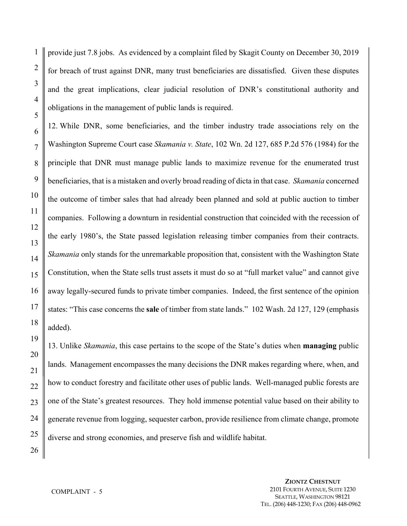1 2 3 provide just 7.8 jobs. As evidenced by a complaint filed by Skagit County on December 30, 2019 for breach of trust against DNR, many trust beneficiaries are dissatisfied. Given these disputes and the great implications, clear judicial resolution of DNR's constitutional authority and obligations in the management of public lands is required.

12. While DNR, some beneficiaries, and the timber industry trade associations rely on the Washington Supreme Court case *Skamania v. State*, 102 Wn. 2d 127, 685 P.2d 576 (1984) for the principle that DNR must manage public lands to maximize revenue for the enumerated trust beneficiaries, that is a mistaken and overly broad reading of dicta in that case. *Skamania* concerned the outcome of timber sales that had already been planned and sold at public auction to timber companies. Following a downturn in residential construction that coincided with the recession of the early 1980's, the State passed legislation releasing timber companies from their contracts. *Skamania* only stands for the unremarkable proposition that, consistent with the Washington State Constitution, when the State sells trust assets it must do so at "full market value" and cannot give away legally-secured funds to private timber companies. Indeed, the first sentence of the opinion states: "This case concerns the **sale** of timber from state lands." 102 Wash. 2d 127, 129 (emphasis added).

13. Unlike *Skamania*, this case pertains to the scope of the State's duties when **managing** public lands. Management encompasses the many decisions the DNR makes regarding where, when, and how to conduct forestry and facilitate other uses of public lands. Well-managed public forests are one of the State's greatest resources. They hold immense potential value based on their ability to generate revenue from logging, sequester carbon, provide resilience from climate change, promote diverse and strong economies, and preserve fish and wildlife habitat.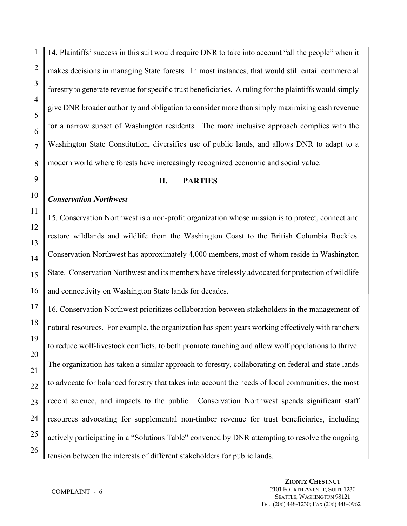14. Plaintiffs' success in this suit would require DNR to take into account "all the people" when it makes decisions in managing State forests. In most instances, that would still entail commercial forestry to generate revenue for specific trust beneficiaries. A ruling for the plaintiffs would simply give DNR broader authority and obligation to consider more than simply maximizing cash revenue for a narrow subset of Washington residents. The more inclusive approach complies with the Washington State Constitution, diversifies use of public lands, and allows DNR to adapt to a modern world where forests have increasingly recognized economic and social value.

#### **II. PARTIES**

## *Conservation Northwest*

15. Conservation Northwest is a non-profit organization whose mission is to protect, connect and restore wildlands and wildlife from the Washington Coast to the British Columbia Rockies. Conservation Northwest has approximately 4,000 members, most of whom reside in Washington State. Conservation Northwest and its members have tirelessly advocated for protection of wildlife and connectivity on Washington State lands for decades.

16. Conservation Northwest prioritizes collaboration between stakeholders in the management of natural resources. For example, the organization has spent years working effectively with ranchers to reduce wolf-livestock conflicts, to both promote ranching and allow wolf populations to thrive. The organization has taken a similar approach to forestry, collaborating on federal and state lands to advocate for balanced forestry that takes into account the needs of local communities, the most recent science, and impacts to the public. Conservation Northwest spends significant staff resources advocating for supplemental non-timber revenue for trust beneficiaries, including actively participating in a "Solutions Table" convened by DNR attempting to resolve the ongoing tension between the interests of different stakeholders for public lands.

1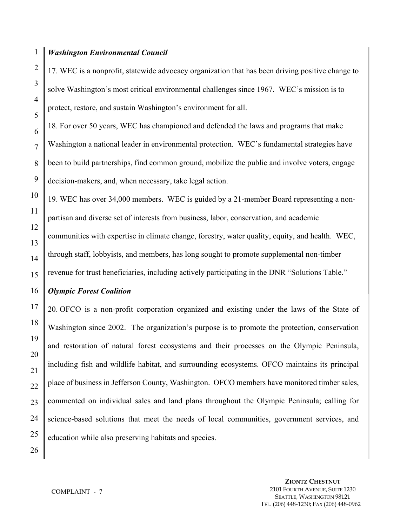17. WEC is a nonprofit, statewide advocacy organization that has been driving positive change to solve Washington's most critical environmental challenges since 1967. WEC's mission is to protect, restore, and sustain Washington's environment for all.

18. For over 50 years, WEC has championed and defended the laws and programs that make Washington a national leader in environmental protection. WEC's fundamental strategies have been to build partnerships, find common ground, mobilize the public and involve voters, engage decision-makers, and, when necessary, take legal action.

19. WEC has over 34,000 members. WEC is guided by a 21-member Board representing a nonpartisan and diverse set of interests from business, labor, conservation, and academic communities with expertise in climate change, forestry, water quality, equity, and health. WEC, through staff, lobbyists, and members, has long sought to promote supplemental non-timber revenue for trust beneficiaries, including actively participating in the DNR "Solutions Table."

# *Olympic Forest Coalition*

20. OFCO is a non-profit corporation organized and existing under the laws of the State of Washington since 2002. The organization's purpose is to promote the protection, conservation and restoration of natural forest ecosystems and their processes on the Olympic Peninsula, including fish and wildlife habitat, and surrounding ecosystems. OFCO maintains its principal place of business in Jefferson County, Washington. OFCO members have monitored timber sales, commented on individual sales and land plans throughout the Olympic Peninsula; calling for science-based solutions that meet the needs of local communities, government services, and education while also preserving habitats and species.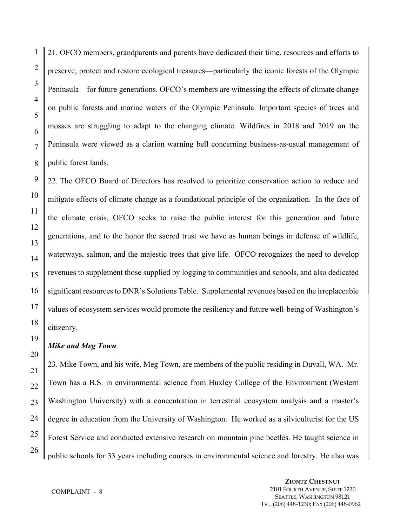21. OFCO members, grandparents and parents have dedicated their time, resources and efforts to preserve, protect and restore ecological treasures—particularly the iconic forests of the Olympic Peninsula—for future generations. OFCO's members are witnessing the effects of climate change on public forests and marine waters of the Olympic Peninsula. Important species of trees and mosses are struggling to adapt to the changing climate. Wildfires in 2018 and 2019 on the Peninsula were viewed as a clarion warning bell concerning business-as-usual management of public forest lands.

22. The OFCO Board of Directors has resolved to prioritize conservation action to reduce and mitigate effects of climate change as a foundational principle of the organization. In the face of the climate crisis, OFCO seeks to raise the public interest for this generation and future generations, and to the honor the sacred trust we have as human beings in defense of wildlife, waterways, salmon, and the majestic trees that give life. OFCO recognizes the need to develop revenues to supplement those supplied by logging to communities and schools, and also dedicated significant resources to DNR's Solutions Table. Supplemental revenues based on the irreplaceable values of ecosystem services would promote the resiliency and future well-being of Washington's citizenry.

#### *Mike and Meg Town*

23. Mike Town, and his wife, Meg Town, are members of the public residing in Duvall, WA. Mr. Town has a B.S. in environmental science from Huxley College of the Environment (Western Washington University) with a concentration in terrestrial ecosystem analysis and a master's degree in education from the University of Washington. He worked as a silviculturist for the US Forest Service and conducted extensive research on mountain pine beetles. He taught science in public schools for 33 years including courses in environmental science and forestry. He also was

COMPLAINT - 8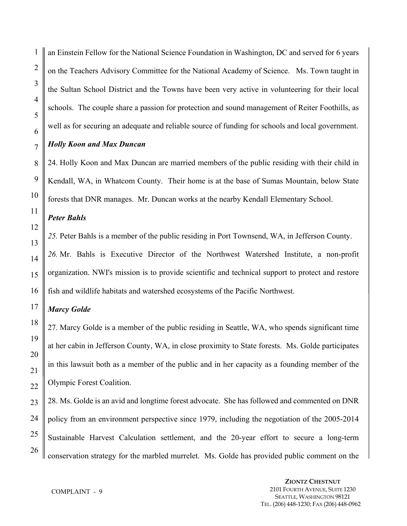an Einstein Fellow for the National Science Foundation in Washington, DC and served for 6 years on the Teachers Advisory Committee for the National Academy of Science. Ms. Town taught in the Sultan School District and the Towns have been very active in volunteering for their local schools. The couple share a passion for protection and sound management of Reiter Foothills, as well as for securing an adequate and reliable source of funding for schools and local government.

# *Holly Koon and Max Duncan*

24. Holly Koon and Max Duncan are married members of the public residing with their child in Kendall, WA, in Whatcom County. Their home is at the base of Sumas Mountain, below State forests that DNR manages. Mr. Duncan works at the nearby Kendall Elementary School.

# *Peter Bahls*

*25.* Peter Bahls is a member of the public residing in Port Townsend, WA, in Jefferson County.

*26.* Mr. Bahls is Executive Director of the Northwest Watershed Institute, a non-profit organization. NWI's mission is to provide scientific and technical support to protect and restore fish and wildlife habitats and watershed ecosystems of the Pacific Northwest.

# *Marcy Golde*

27. Marcy Golde is a member of the public residing in Seattle, WA, who spends significant time at her cabin in Jefferson County, WA, in close proximity to State forests. Ms. Golde participates in this lawsuit both as a member of the public and in her capacity as a founding member of the Olympic Forest Coalition.

28. Ms. Golde is an avid and longtime forest advocate. She has followed and commented on DNR policy from an environment perspective since 1979, including the negotiation of the 2005-2014 Sustainable Harvest Calculation settlement, and the 20-year effort to secure a long-term conservation strategy for the marbled murrelet. Ms. Golde has provided public comment on the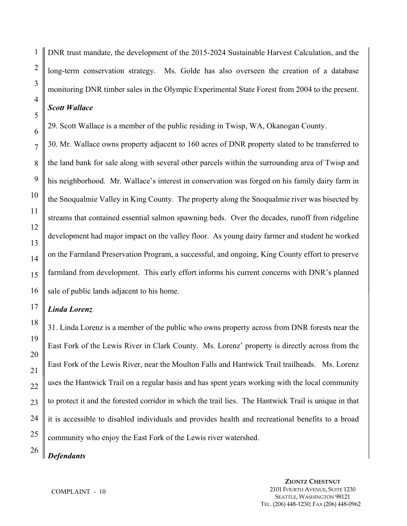1

DNR trust mandate, the development of the 2015-2024 Sustainable Harvest Calculation, and the long-term conservation strategy. Ms. Golde has also overseen the creation of a database monitoring DNR timber sales in the Olympic Experimental State Forest from 2004 to the present.

# *Scott Wallace*

29. Scott Wallace is a member of the public residing in Twisp, WA, Okanogan County.

30. Mr. Wallace owns property adjacent to 160 acres of DNR property slated to be transferred to the land bank for sale along with several other parcels within the surrounding area of Twisp and his neighborhood. Mr. Wallace's interest in conservation was forged on his family dairy farm in the Snoqualmie Valley in King County. The property along the Snoqualmie river was bisected by streams that contained essential salmon spawning beds. Over the decades, runoff from ridgeline development had major impact on the valley floor. As young dairy farmer and student he worked on the Farmland Preservation Program, a successful, and ongoing, King County effort to preserve farmland from development. This early effort informs his current concerns with DNR's planned sale of public lands adjacent to his home.

## *Linda Lorenz*

31. Linda Lorenz is a member of the public who owns property across from DNR forests near the East Fork of the Lewis River in Clark County. Ms. Lorenz' property is directly across from the East Fork of the Lewis River, near the Moulton Falls and Hantwick Trail trailheads. Ms. Lorenz uses the Hantwick Trail on a regular basis and has spent years working with the local community to protect it and the forested corridor in which the trail lies. The Hantwick Trail is unique in that it is accessible to disabled individuals and provides health and recreational benefits to a broad community who enjoy the East Fork of the Lewis river watershed.

*Defendants*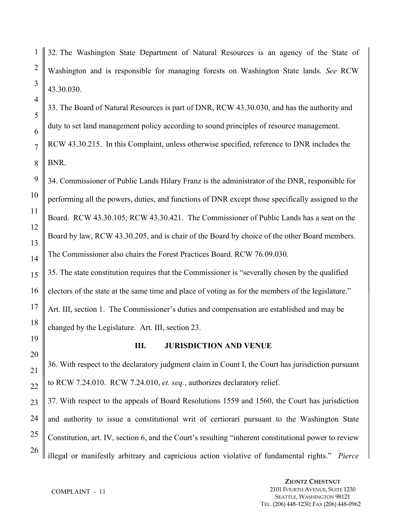32. The Washington State Department of Natural Resources is an agency of the State of Washington and is responsible for managing forests on Washington State lands. *See* RCW 43.30.030.

33. The Board of Natural Resources is part of DNR, RCW 43.30.030, and has the authority and duty to set land management policy according to sound principles of resource management. RCW 43.30.215. In this Complaint, unless otherwise specified, reference to DNR includes the BNR.

34. Commissioner of Public Lands Hilary Franz is the administrator of the DNR, responsible for performing all the powers, duties, and functions of DNR except those specifically assigned to the Board. RCW 43.30.105; RCW 43.30.421.The Commissioner of Public Lands has a seat on the Board by law, RCW 43.30.205, and is chair of the Board by choice of the other Board members. The Commissioner also chairs the Forest Practices Board. RCW 76.09.030.

35. The state constitution requires that the Commissioner is "severally chosen by the qualified electors of the state at the same time and place of voting as for the members of the legislature." Art. III, section 1. The Commissioner's duties and compensation are established and may be changed by the Legislature. Art. III, section 23.

36. With respect to the declaratory judgment claim in Count I, the Court has jurisdiction pursuant to RCW 7.24.010. RCW 7.24.010, *et. seq.*, authorizes declaratory relief.

**III. JURISDICTION AND VENUE**

37. With respect to the appeals of Board Resolutions 1559 and 1560, the Court has jurisdiction and authority to issue a constitutional writ of certiorari pursuant to the Washington State Constitution, art. IV, section 6, and the Court's resulting "inherent constitutional power to review illegal or manifestly arbitrary and capricious action violative of fundamental rights." *Pierce*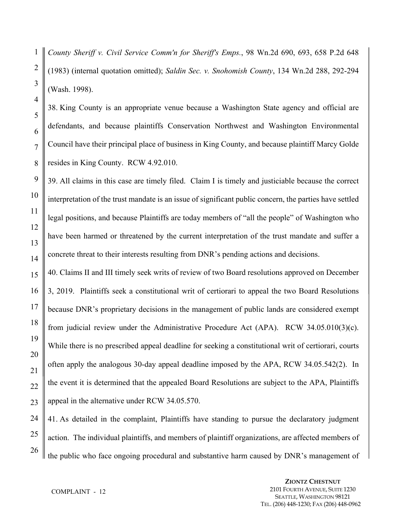1 *County Sheriff v. Civil Service Comm'n for Sheriff's Emps.*, 98 Wn.2d 690, 693, 658 P.2d 648 (1983) (internal quotation omitted); *Saldin Sec. v. Snohomish County*, 134 Wn.2d 288, 292-294 (Wash. 1998).

38. King County is an appropriate venue because a Washington State agency and official are defendants, and because plaintiffs Conservation Northwest and Washington Environmental Council have their principal place of business in King County, and because plaintiff Marcy Golde resides in King County. RCW 4.92.010.

39. All claims in this case are timely filed. Claim I is timely and justiciable because the correct interpretation of the trust mandate is an issue of significant public concern, the parties have settled legal positions, and because Plaintiffs are today members of "all the people" of Washington who have been harmed or threatened by the current interpretation of the trust mandate and suffer a concrete threat to their interests resulting from DNR's pending actions and decisions.

40. Claims II and III timely seek writs of review of two Board resolutions approved on December 3, 2019. Plaintiffs seek a constitutional writ of certiorari to appeal the two Board Resolutions because DNR's proprietary decisions in the management of public lands are considered exempt from judicial review under the Administrative Procedure Act (APA). RCW 34.05.010(3)(c). While there is no prescribed appeal deadline for seeking a constitutional writ of certiorari, courts often apply the analogous 30-day appeal deadline imposed by the APA, RCW 34.05.542(2). In the event it is determined that the appealed Board Resolutions are subject to the APA, Plaintiffs appeal in the alternative under RCW 34.05.570.

41. As detailed in the complaint, Plaintiffs have standing to pursue the declaratory judgment action. The individual plaintiffs, and members of plaintiff organizations, are affected members of the public who face ongoing procedural and substantive harm caused by DNR's management of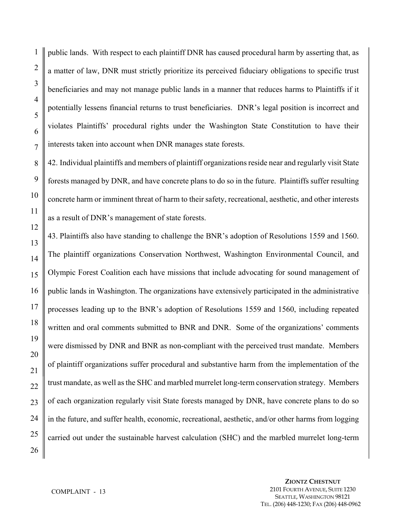public lands. With respect to each plaintiff DNR has caused procedural harm by asserting that, as a matter of law, DNR must strictly prioritize its perceived fiduciary obligations to specific trust beneficiaries and may not manage public lands in a manner that reduces harms to Plaintiffs if it potentially lessens financial returns to trust beneficiaries. DNR's legal position is incorrect and violates Plaintiffs' procedural rights under the Washington State Constitution to have their interests taken into account when DNR manages state forests.

42. Individual plaintiffs and members of plaintiff organizations reside near and regularly visit State forests managed by DNR, and have concrete plans to do so in the future. Plaintiffs suffer resulting concrete harm or imminent threat of harm to their safety, recreational, aesthetic, and other interests as a result of DNR's management of state forests.

43. Plaintiffs also have standing to challenge the BNR's adoption of Resolutions 1559 and 1560. The plaintiff organizations Conservation Northwest, Washington Environmental Council, and Olympic Forest Coalition each have missions that include advocating for sound management of public lands in Washington. The organizations have extensively participated in the administrative processes leading up to the BNR's adoption of Resolutions 1559 and 1560, including repeated written and oral comments submitted to BNR and DNR. Some of the organizations' comments were dismissed by DNR and BNR as non-compliant with the perceived trust mandate. Members of plaintiff organizations suffer procedural and substantive harm from the implementation of the trust mandate, as well as the SHC and marbled murrelet long-term conservation strategy. Members of each organization regularly visit State forests managed by DNR, have concrete plans to do so in the future, and suffer health, economic, recreational, aesthetic, and/or other harms from logging carried out under the sustainable harvest calculation (SHC) and the marbled murrelet long-term

1

2

3

4

5

6

7

8

9

10

11

12

13

14

15

16

17

18

19

20

21

22

23

24

25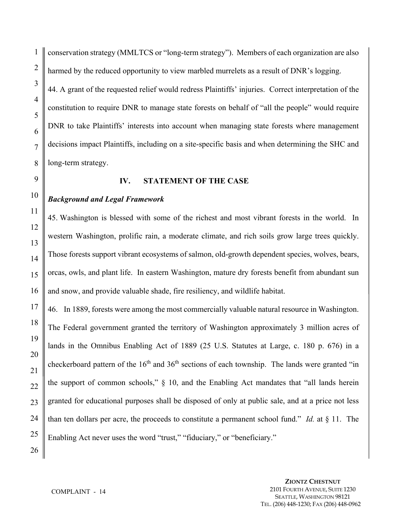conservation strategy (MMLTCS or "long-term strategy"). Members of each organization are also harmed by the reduced opportunity to view marbled murrelets as a result of DNR's logging. 44. A grant of the requested relief would redress Plaintiffs' injuries. Correct interpretation of the constitution to require DNR to manage state forests on behalf of "all the people" would require DNR to take Plaintiffs' interests into account when managing state forests where management decisions impact Plaintiffs, including on a site-specific basis and when determining the SHC and long-term strategy.

#### **IV. STATEMENT OF THE CASE**

#### *Background and Legal Framework*

45. Washington is blessed with some of the richest and most vibrant forests in the world. In western Washington, prolific rain, a moderate climate, and rich soils grow large trees quickly. Those forests support vibrant ecosystems of salmon, old-growth dependent species, wolves, bears, orcas, owls, and plant life. In eastern Washington, mature dry forests benefit from abundant sun and snow, and provide valuable shade, fire resiliency, and wildlife habitat.

46. In 1889, forests were among the most commercially valuable natural resource in Washington. The Federal government granted the territory of Washington approximately 3 million acres of lands in the Omnibus Enabling Act of 1889 (25 U.S. Statutes at Large, c. 180 p. 676) in a checkerboard pattern of the  $16<sup>th</sup>$  and  $36<sup>th</sup>$  sections of each township. The lands were granted "in the support of common schools," § 10, and the Enabling Act mandates that "all lands herein granted for educational purposes shall be disposed of only at public sale, and at a price not less than ten dollars per acre, the proceeds to constitute a permanent school fund." *Id.* at § 11. The Enabling Act never uses the word "trust," "fiduciary," or "beneficiary."

1

COMPLAINT - 14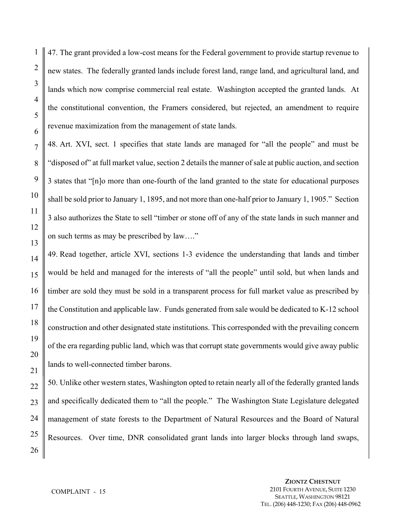47. The grant provided a low-cost means for the Federal government to provide startup revenue to new states. The federally granted lands include forest land, range land, and agricultural land, and lands which now comprise commercial real estate. Washington accepted the granted lands. At the constitutional convention, the Framers considered, but rejected, an amendment to require revenue maximization from the management of state lands.

48. Art. XVI, sect. 1 specifies that state lands are managed for "all the people" and must be "disposed of" at full market value, section 2 details the manner of sale at public auction, and section 3 states that "[n]o more than one-fourth of the land granted to the state for educational purposes shall be sold prior to January 1, 1895, and not more than one-half prior to January 1, 1905." Section 3 also authorizes the State to sell "timber or stone off of any of the state lands in such manner and on such terms as may be prescribed by law…."

49. Read together, article XVI, sections 1-3 evidence the understanding that lands and timber would be held and managed for the interests of "all the people" until sold, but when lands and timber are sold they must be sold in a transparent process for full market value as prescribed by the Constitution and applicable law. Funds generated from sale would be dedicated to K-12 school construction and other designated state institutions. This corresponded with the prevailing concern of the era regarding public land, which was that corrupt state governments would give away public lands to well-connected timber barons.

50. Unlike other western states, Washington opted to retain nearly all of the federally granted lands and specifically dedicated them to "all the people." The Washington State Legislature delegated management of state forests to the Department of Natural Resources and the Board of Natural Resources. Over time, DNR consolidated grant lands into larger blocks through land swaps,

1

2

3

4

5

6

7

8

9

10

11

12

13

14

15

16

17

18

19

20

21

22

23

24

25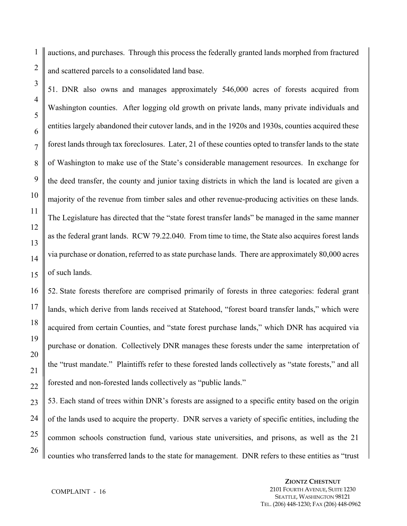1 auctions, and purchases. Through this process the federally granted lands morphed from fractured and scattered parcels to a consolidated land base.

51. DNR also owns and manages approximately 546,000 acres of forests acquired from Washington counties. After logging old growth on private lands, many private individuals and entities largely abandoned their cutover lands, and in the 1920s and 1930s, counties acquired these forest lands through tax foreclosures. Later, 21 of these counties opted to transfer lands to the state of Washington to make use of the State's considerable management resources. In exchange for the deed transfer, the county and junior taxing districts in which the land is located are given a majority of the revenue from timber sales and other revenue-producing activities on these lands. The Legislature has directed that the "state forest transfer lands" be managed in the same manner as the federal grant lands. RCW 79.22.040. From time to time, the State also acquires forest lands via purchase or donation, referred to as state purchase lands. There are approximately 80,000 acres of such lands.

52. State forests therefore are comprised primarily of forests in three categories: federal grant lands, which derive from lands received at Statehood, "forest board transfer lands," which were acquired from certain Counties, and "state forest purchase lands," which DNR has acquired via purchase or donation. Collectively DNR manages these forests under the same interpretation of the "trust mandate." Plaintiffs refer to these forested lands collectively as "state forests," and all forested and non-forested lands collectively as "public lands."

53. Each stand of trees within DNR's forests are assigned to a specific entity based on the origin of the lands used to acquire the property. DNR serves a variety of specific entities, including the common schools construction fund, various state universities, and prisons, as well as the 21 counties who transferred lands to the state for management. DNR refers to these entities as "trust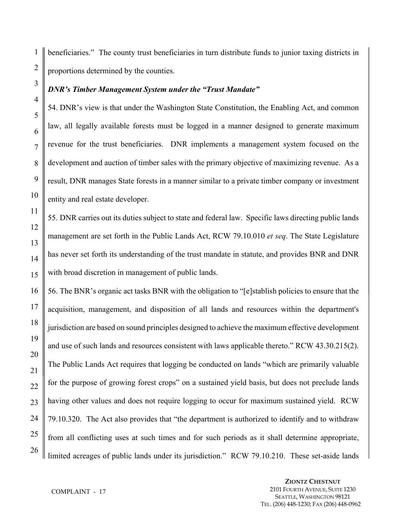beneficiaries." The county trust beneficiaries in turn distribute funds to junior taxing districts in proportions determined by the counties.

#### *DNR's Timber Management System under the "Trust Mandate"*

54. DNR's view is that under the Washington State Constitution, the Enabling Act, and common law, all legally available forests must be logged in a manner designed to generate maximum revenue for the trust beneficiaries. DNR implements a management system focused on the development and auction of timber sales with the primary objective of maximizing revenue. As a result, DNR manages State forests in a manner similar to a private timber company or investment entity and real estate developer.

55. DNR carries out its duties subject to state and federal law. Specific laws directing public lands management are set forth in the Public Lands Act, RCW 79.10.010 *et seq*. The State Legislature has never set forth its understanding of the trust mandate in statute, and provides BNR and DNR with broad discretion in management of public lands.

56. The BNR's organic act tasks BNR with the obligation to "[e]stablish policies to ensure that the acquisition, management, and disposition of all lands and resources within the department's jurisdiction are based on sound principles designed to achieve the maximum effective development and use of such lands and resources consistent with laws applicable thereto." RCW 43.30.215(2). The Public Lands Act requires that logging be conducted on lands "which are primarily valuable for the purpose of growing forest crops" on a sustained yield basis, but does not preclude lands having other values and does not require logging to occur for maximum sustained yield. RCW 79.10.320. The Act also provides that "the department is authorized to identify and to withdraw from all conflicting uses at such times and for such periods as it shall determine appropriate, limited acreages of public lands under its jurisdiction." RCW 79.10.210. These set-aside lands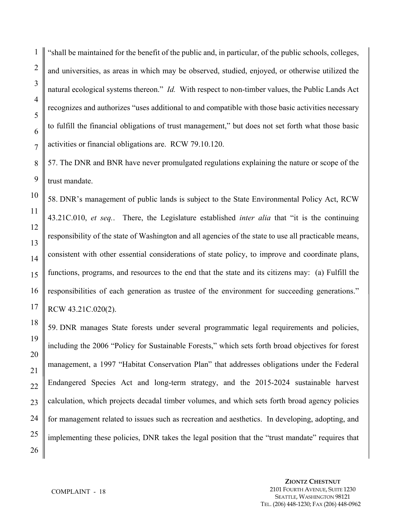"shall be maintained for the benefit of the public and, in particular, of the public schools, colleges, and universities, as areas in which may be observed, studied, enjoyed, or otherwise utilized the natural ecological systems thereon." *Id.* With respect to non-timber values, the Public Lands Act recognizes and authorizes "uses additional to and compatible with those basic activities necessary to fulfill the financial obligations of trust management," but does not set forth what those basic activities or financial obligations are. RCW 79.10.120.

57. The DNR and BNR have never promulgated regulations explaining the nature or scope of the trust mandate.

58. DNR's management of public lands is subject to the State Environmental Policy Act, RCW 43.21C.010, *et seq.*. There, the Legislature established *inter alia* that "it is the continuing responsibility of the state of Washington and all agencies of the state to use all practicable means, consistent with other essential considerations of state policy, to improve and coordinate plans, functions, programs, and resources to the end that the state and its citizens may: (a) Fulfill the responsibilities of each generation as trustee of the environment for succeeding generations." RCW 43.21C.020(2).

59. DNR manages State forests under several programmatic legal requirements and policies, including the 2006 "Policy for Sustainable Forests," which sets forth broad objectives for forest management, a 1997 "Habitat Conservation Plan" that addresses obligations under the Federal Endangered Species Act and long-term strategy, and the 2015-2024 sustainable harvest calculation, which projects decadal timber volumes, and which sets forth broad agency policies for management related to issues such as recreation and aesthetics. In developing, adopting, and implementing these policies, DNR takes the legal position that the "trust mandate" requires that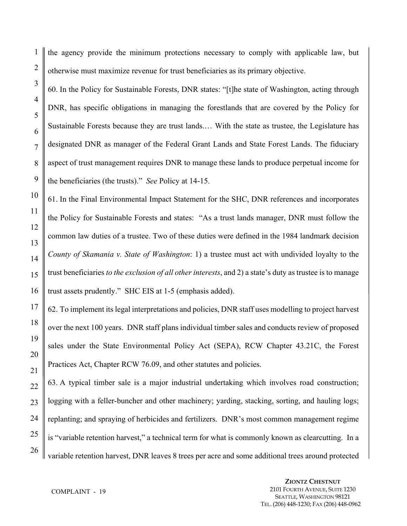1 the agency provide the minimum protections necessary to comply with applicable law, but otherwise must maximize revenue for trust beneficiaries as its primary objective.

60. In the Policy for Sustainable Forests, DNR states: "[t]he state of Washington, acting through DNR, has specific obligations in managing the forestlands that are covered by the Policy for Sustainable Forests because they are trust lands.… With the state as trustee, the Legislature has designated DNR as manager of the Federal Grant Lands and State Forest Lands. The fiduciary aspect of trust management requires DNR to manage these lands to produce perpetual income for the beneficiaries (the trusts)." *See* Policy at 14-15.

61. In the Final Environmental Impact Statement for the SHC, DNR references and incorporates the Policy for Sustainable Forests and states: "As a trust lands manager, DNR must follow the common law duties of a trustee. Two of these duties were defined in the 1984 landmark decision *County of Skamania v. State of Washington*: 1) a trustee must act with undivided loyalty to the trust beneficiaries *to the exclusion of all other interests*, and 2) a state's duty as trustee is to manage trust assets prudently." SHC EIS at 1-5 (emphasis added).

62. To implement its legal interpretations and policies, DNR staff uses modelling to project harvest over the next 100 years. DNR staff plans individual timber sales and conducts review of proposed sales under the State Environmental Policy Act (SEPA), RCW Chapter 43.21C, the Forest Practices Act, Chapter RCW 76.09, and other statutes and policies.

63. A typical timber sale is a major industrial undertaking which involves road construction; logging with a feller-buncher and other machinery; yarding, stacking, sorting, and hauling logs; replanting; and spraying of herbicides and fertilizers. DNR's most common management regime is "variable retention harvest," a technical term for what is commonly known as clearcutting. In a variable retention harvest, DNR leaves 8 trees per acre and some additional trees around protected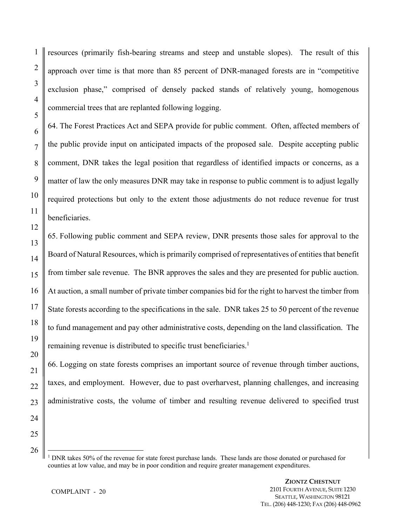resources (primarily fish-bearing streams and steep and unstable slopes). The result of this approach over time is that more than 85 percent of DNR-managed forests are in "competitive exclusion phase," comprised of densely packed stands of relatively young, homogenous commercial trees that are replanted following logging.

64. The Forest Practices Act and SEPA provide for public comment. Often, affected members of the public provide input on anticipated impacts of the proposed sale. Despite accepting public comment, DNR takes the legal position that regardless of identified impacts or concerns, as a matter of law the only measures DNR may take in response to public comment is to adjust legally required protections but only to the extent those adjustments do not reduce revenue for trust beneficiaries.

65. Following public comment and SEPA review, DNR presents those sales for approval to the Board of Natural Resources, which is primarily comprised of representatives of entities that benefit from timber sale revenue. The BNR approves the sales and they are presented for public auction. At auction, a small number of private timber companies bid for the right to harvest the timber from State forests according to the specifications in the sale. DNR takes 25 to 50 percent of the revenue to fund management and pay other administrative costs, depending on the land classification. The remaining revenue is distributed to specific trust beneficiaries.<sup>1</sup>

66. Logging on state forests comprises an important source of revenue through timber auctions, taxes, and employment. However, due to past overharvest, planning challenges, and increasing administrative costs, the volume of timber and resulting revenue delivered to specified trust

25

26

 $\overline{a}$ 

1

2

3

4

5

6

7

8

9

10

11

12

13

14

15

16

17

18

19

20

21

22

23

<sup>&</sup>lt;sup>1</sup> DNR takes 50% of the revenue for state forest purchase lands. These lands are those donated or purchased for counties at low value, and may be in poor condition and require greater management expenditures.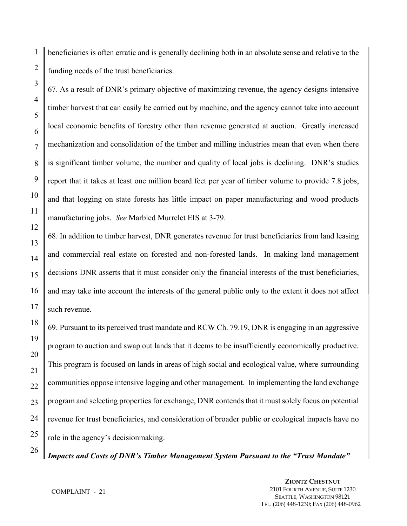1 2 beneficiaries is often erratic and is generally declining both in an absolute sense and relative to the funding needs of the trust beneficiaries.

67. As a result of DNR's primary objective of maximizing revenue, the agency designs intensive timber harvest that can easily be carried out by machine, and the agency cannot take into account local economic benefits of forestry other than revenue generated at auction. Greatly increased mechanization and consolidation of the timber and milling industries mean that even when there is significant timber volume, the number and quality of local jobs is declining. DNR's studies report that it takes at least one million board feet per year of timber volume to provide 7.8 jobs, and that logging on state forests has little impact on paper manufacturing and wood products manufacturing jobs. *See* Marbled Murrelet EIS at 3-79.

68. In addition to timber harvest, DNR generates revenue for trust beneficiaries from land leasing and commercial real estate on forested and non-forested lands. In making land management decisions DNR asserts that it must consider only the financial interests of the trust beneficiaries, and may take into account the interests of the general public only to the extent it does not affect such revenue.

69. Pursuant to its perceived trust mandate and RCW Ch. 79.19, DNR is engaging in an aggressive program to auction and swap out lands that it deems to be insufficiently economically productive. This program is focused on lands in areas of high social and ecological value, where surrounding communities oppose intensive logging and other management. In implementing the land exchange program and selecting properties for exchange, DNR contends that it must solely focus on potential revenue for trust beneficiaries, and consideration of broader public or ecological impacts have no role in the agency's decisionmaking.

*Impacts and Costs of DNR's Timber Management System Pursuant to the "Trust Mandate"* 

3

4

5

6

7

8

9

10

11

12

13

14

15

16

17

18

19

20

21

22

23

24

25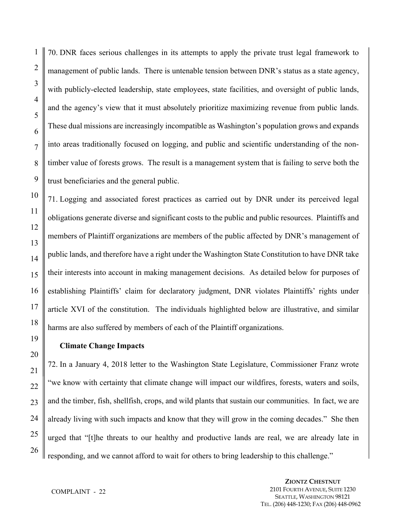70. DNR faces serious challenges in its attempts to apply the private trust legal framework to management of public lands. There is untenable tension between DNR's status as a state agency, with publicly-elected leadership, state employees, state facilities, and oversight of public lands, and the agency's view that it must absolutely prioritize maximizing revenue from public lands. These dual missions are increasingly incompatible as Washington's population grows and expands into areas traditionally focused on logging, and public and scientific understanding of the nontimber value of forests grows. The result is a management system that is failing to serve both the trust beneficiaries and the general public.

71. Logging and associated forest practices as carried out by DNR under its perceived legal obligations generate diverse and significant costs to the public and public resources. Plaintiffs and members of Plaintiff organizations are members of the public affected by DNR's management of public lands, and therefore have a right under the Washington State Constitution to have DNR take their interests into account in making management decisions. As detailed below for purposes of establishing Plaintiffs' claim for declaratory judgment, DNR violates Plaintiffs' rights under article XVI of the constitution. The individuals highlighted below are illustrative, and similar harms are also suffered by members of each of the Plaintiff organizations.

## **Climate Change Impacts**

1

2

3

4

5

6

7

8

9

10

11

12

13

14

15

16

17

18

19

20

21

22

23

24

25

26

72. In a January 4, 2018 letter to the Washington State Legislature, Commissioner Franz wrote "we know with certainty that climate change will impact our wildfires, forests, waters and soils, and the timber, fish, shellfish, crops, and wild plants that sustain our communities. In fact, we are already living with such impacts and know that they will grow in the coming decades." She then urged that "[t]he threats to our healthy and productive lands are real, we are already late in responding, and we cannot afford to wait for others to bring leadership to this challenge."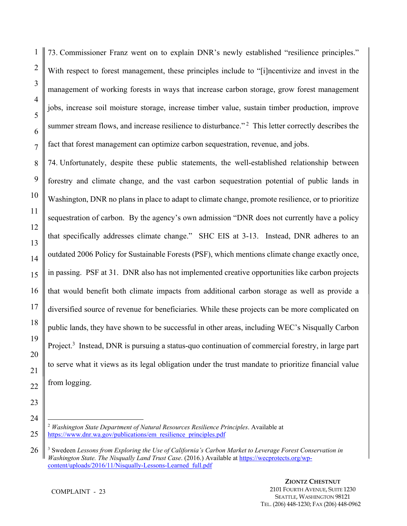73. Commissioner Franz went on to explain DNR's newly established "resilience principles." With respect to forest management, these principles include to "[i]ncentivize and invest in the management of working forests in ways that increase carbon storage, grow forest management jobs, increase soil moisture storage, increase timber value, sustain timber production, improve summer stream flows, and increase resilience to disturbance."<sup>2</sup> This letter correctly describes the fact that forest management can optimize carbon sequestration, revenue, and jobs.

74. Unfortunately, despite these public statements, the well-established relationship between forestry and climate change, and the vast carbon sequestration potential of public lands in Washington, DNR no plans in place to adapt to climate change, promote resilience, or to prioritize sequestration of carbon. By the agency's own admission "DNR does not currently have a policy that specifically addresses climate change." SHC EIS at 3-13. Instead, DNR adheres to an outdated 2006 Policy for Sustainable Forests (PSF), which mentions climate change exactly once, in passing. PSF at 31. DNR also has not implemented creative opportunities like carbon projects that would benefit both climate impacts from additional carbon storage as well as provide a diversified source of revenue for beneficiaries. While these projects can be more complicated on public lands, they have shown to be successful in other areas, including WEC's Nisqually Carbon Project.<sup>3</sup> Instead, DNR is pursuing a status-quo continuation of commercial forestry, in large part to serve what it views as its legal obligation under the trust mandate to prioritize financial value from logging.

<u>.</u>

1

2

3

<sup>2</sup> *Washington State Department of Natural Resources Resilience Principles*. Available at https://www.dnr.wa.gov/publications/em\_resilience\_principles.pdf

<sup>26</sup> 3 Swedeen *Lessons from Exploring the Use of California's Carbon Market to Leverage Forest Conservation in Washington State. The Nisqually Land Trust Case*. (2016.) Available at https://wecprotects.org/wpcontent/uploads/2016/11/Nisqually-Lessons-Learned\_full.pdf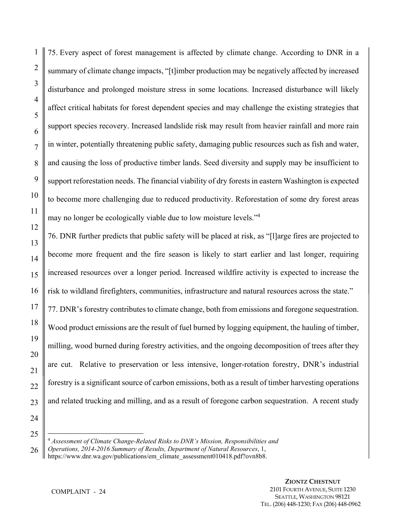75. Every aspect of forest management is affected by climate change. According to DNR in a summary of climate change impacts, "[t]imber production may be negatively affected by increased disturbance and prolonged moisture stress in some locations. Increased disturbance will likely affect critical habitats for forest dependent species and may challenge the existing strategies that support species recovery. Increased landslide risk may result from heavier rainfall and more rain in winter, potentially threatening public safety, damaging public resources such as fish and water, and causing the loss of productive timber lands. Seed diversity and supply may be insufficient to support reforestation needs. The financial viability of dry forests in eastern Washington is expected to become more challenging due to reduced productivity. Reforestation of some dry forest areas may no longer be ecologically viable due to low moisture levels."<sup>4</sup>

76. DNR further predicts that public safety will be placed at risk, as "[l]arge fires are projected to become more frequent and the fire season is likely to start earlier and last longer, requiring increased resources over a longer period. Increased wildfire activity is expected to increase the risk to wildland firefighters, communities, infrastructure and natural resources across the state."

77. DNR's forestry contributes to climate change, both from emissions and foregone sequestration. Wood product emissions are the result of fuel burned by logging equipment, the hauling of timber, milling, wood burned during forestry activities, and the ongoing decomposition of trees after they are cut. Relative to preservation or less intensive, longer-rotation forestry, DNR's industrial forestry is a significant source of carbon emissions, both as a result of timber harvesting operations and related trucking and milling, and as a result of foregone carbon sequestration. A recent study

24 25

 $\overline{a}$ 

1

2

3

4

5

6

7

8

9

10

11

12

13

14

15

16

17

18

19

20

21

22

<sup>4</sup> *Assessment of Climate Change-Related Risks to DNR's Mission, Responsibilities and* 

<sup>26</sup> *Operations, 2014-2016 Summary of Results, Department of Natural Resources*, 1,

https://www.dnr.wa.gov/publications/em\_climate\_assessment010418.pdf?ovn8b8.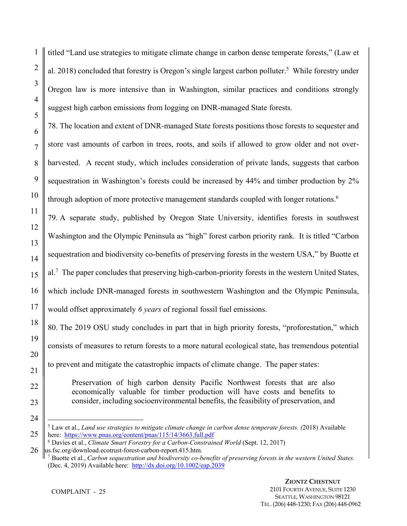titled "Land use strategies to mitigate climate change in carbon dense temperate forests," (Law et al. 2018) concluded that forestry is Oregon's single largest carbon polluter.<sup>5</sup> While forestry under Oregon law is more intensive than in Washington, similar practices and conditions strongly suggest high carbon emissions from logging on DNR-managed State forests.

78. The location and extent of DNR-managed State forests positions those forests to sequester and store vast amounts of carbon in trees, roots, and soils if allowed to grow older and not overharvested. A recent study, which includes consideration of private lands, suggests that carbon sequestration in Washington's forests could be increased by 44% and timber production by 2% through adoption of more protective management standards coupled with longer rotations.<sup>6</sup>

79. A separate study, published by Oregon State University, identifies forests in southwest Washington and the Olympic Peninsula as "high" forest carbon priority rank. It is titled "Carbon sequestration and biodiversity co-benefits of preserving forests in the western USA," by Buotte et al.<sup>7</sup> The paper concludes that preserving high-carbon-priority forests in the western United States, which include DNR-managed forests in southwestern Washington and the Olympic Peninsula, would offset approximately *6 years* of regional fossil fuel emissions.

80. The 2019 OSU study concludes in part that in high priority forests, "proforestation," which consists of measures to return forests to a more natural ecological state, has tremendous potential to prevent and mitigate the catastrophic impacts of climate change. The paper states:

Preservation of high carbon density Pacific Northwest forests that are also economically valuable for timber production will have costs and benefits to consider, including socioenvironmental benefits, the feasibility of preservation, and

1

2

3

4

5

6

7

8

<sup>1</sup> 5 Law et al., *Land use strategies to mitigate climate change in carbon dense temperate forests. (*2018) Available here: https://www.pnas.org/content/pnas/115/14/3663.full.pdf

<sup>6</sup> Davies et al., *Climate Smart Forestry for a Carbon-Constrained World* (Sept. 12, 2017)

us.fsc.org/download.ecotrust-forest-carbon-report.415.htm. 7 Buotte et al., *Carbon sequestration and biodiversity co-benefits of preserving forests in the western United States.*  (Dec. 4, 2019) Available here: http://dx.doi.org/10.1002/eap.2039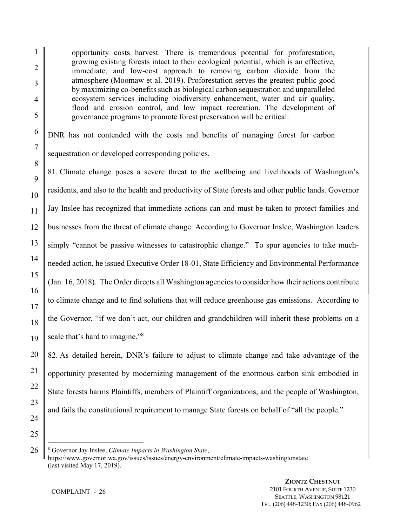opportunity costs harvest. There is tremendous potential for proforestation, growing existing forests intact to their ecological potential, which is an effective, immediate, and low-cost approach to removing carbon dioxide from the atmosphere (Moomaw et al. 2019). Proforestation serves the greatest public good by maximizing co-benefits such as biological carbon sequestration and unparalleled ecosystem services including biodiversity enhancement, water and air quality, flood and erosion control, and low impact recreation. The development of governance programs to promote forest preservation will be critical.

DNR has not contended with the costs and benefits of managing forest for carbon sequestration or developed corresponding policies.

81. Climate change poses a severe threat to the wellbeing and livelihoods of Washington's residents, and also to the health and productivity of State forests and other public lands. Governor Jay Inslee has recognized that immediate actions can and must be taken to protect families and businesses from the threat of climate change. According to Governor Inslee, Washington leaders simply "cannot be passive witnesses to catastrophic change." To spur agencies to take muchneeded action, he issued Executive Order 18-01, State Efficiency and Environmental Performance (Jan. 16, 2018). The Order directs all Washington agencies to consider how their actions contribute to climate change and to find solutions that will reduce greenhouse gas emissions. According to the Governor, "if we don't act, our children and grandchildren will inherit these problems on a scale that's hard to imagine."<sup>8</sup>

82. As detailed herein, DNR's failure to adjust to climate change and take advantage of the opportunity presented by modernizing management of the enormous carbon sink embodied in State forests harms Plaintiffs, members of Plaintiff organizations, and the people of Washington, and fails the constitutional requirement to manage State forests on behalf of "all the people."

<sup>8</sup> Governor Jay Inslee, *Climate Impacts in Washington State*, https://www.governor.wa.gov/issues/issues/energy-environment/climate-impacts-washingtonstate (last visited May 17, 2019).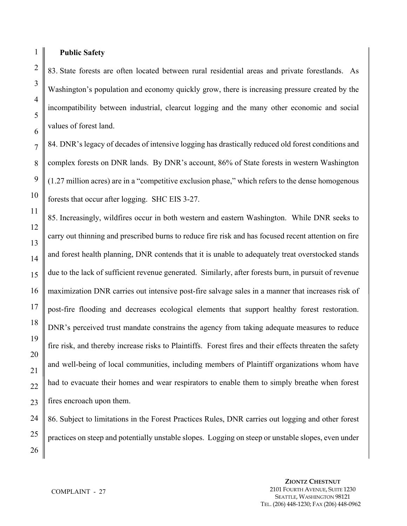#### **Public Safety**

83. State forests are often located between rural residential areas and private forestlands. As Washington's population and economy quickly grow, there is increasing pressure created by the incompatibility between industrial, clearcut logging and the many other economic and social values of forest land.

84. DNR's legacy of decades of intensive logging has drastically reduced old forest conditions and complex forests on DNR lands. By DNR's account, 86% of State forests in western Washington (1.27 million acres) are in a "competitive exclusion phase," which refers to the dense homogenous forests that occur after logging. SHC EIS 3-27.

85. Increasingly, wildfires occur in both western and eastern Washington. While DNR seeks to carry out thinning and prescribed burns to reduce fire risk and has focused recent attention on fire and forest health planning, DNR contends that it is unable to adequately treat overstocked stands due to the lack of sufficient revenue generated. Similarly, after forests burn, in pursuit of revenue maximization DNR carries out intensive post-fire salvage sales in a manner that increases risk of post-fire flooding and decreases ecological elements that support healthy forest restoration. DNR's perceived trust mandate constrains the agency from taking adequate measures to reduce fire risk, and thereby increase risks to Plaintiffs. Forest fires and their effects threaten the safety and well-being of local communities, including members of Plaintiff organizations whom have had to evacuate their homes and wear respirators to enable them to simply breathe when forest fires encroach upon them.

86. Subject to limitations in the Forest Practices Rules, DNR carries out logging and other forest practices on steep and potentially unstable slopes. Logging on steep or unstable slopes, even under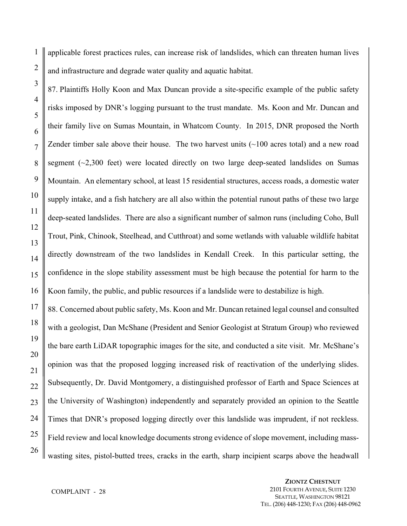1 applicable forest practices rules, can increase risk of landslides, which can threaten human lives and infrastructure and degrade water quality and aquatic habitat.

87. Plaintiffs Holly Koon and Max Duncan provide a site-specific example of the public safety risks imposed by DNR's logging pursuant to the trust mandate. Ms. Koon and Mr. Duncan and their family live on Sumas Mountain, in Whatcom County. In 2015, DNR proposed the North Zender timber sale above their house. The two harvest units  $(\sim 100$  acres total) and a new road segment  $(\sim 2,300$  feet) were located directly on two large deep-seated landslides on Sumas Mountain. An elementary school, at least 15 residential structures, access roads, a domestic water supply intake, and a fish hatchery are all also within the potential runout paths of these two large deep-seated landslides. There are also a significant number of salmon runs (including Coho, Bull Trout, Pink, Chinook, Steelhead, and Cutthroat) and some wetlands with valuable wildlife habitat directly downstream of the two landslides in Kendall Creek. In this particular setting, the confidence in the slope stability assessment must be high because the potential for harm to the Koon family, the public, and public resources if a landslide were to destabilize is high.

88. Concerned about public safety, Ms. Koon and Mr. Duncan retained legal counsel and consulted with a geologist, Dan McShane (President and Senior Geologist at Stratum Group) who reviewed the bare earth LiDAR topographic images for the site, and conducted a site visit. Mr. McShane's opinion was that the proposed logging increased risk of reactivation of the underlying slides. Subsequently, Dr. David Montgomery, a distinguished professor of Earth and Space Sciences at the University of Washington) independently and separately provided an opinion to the Seattle Times that DNR's proposed logging directly over this landslide was imprudent, if not reckless. Field review and local knowledge documents strong evidence of slope movement, including masswasting sites, pistol-butted trees, cracks in the earth, sharp incipient scarps above the headwall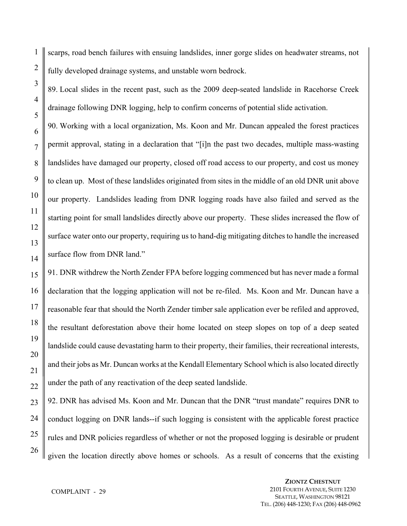1 2 scarps, road bench failures with ensuing landslides, inner gorge slides on headwater streams, not fully developed drainage systems, and unstable worn bedrock.

89. Local slides in the recent past, such as the 2009 deep-seated landslide in Racehorse Creek drainage following DNR logging, help to confirm concerns of potential slide activation.

90. Working with a local organization, Ms. Koon and Mr. Duncan appealed the forest practices permit approval, stating in a declaration that "[i]n the past two decades, multiple mass-wasting landslides have damaged our property, closed off road access to our property, and cost us money to clean up. Most of these landslides originated from sites in the middle of an old DNR unit above our property. Landslides leading from DNR logging roads have also failed and served as the starting point for small landslides directly above our property. These slides increased the flow of surface water onto our property, requiring us to hand-dig mitigating ditches to handle the increased surface flow from DNR land."

91. DNR withdrew the North Zender FPA before logging commenced but has never made a formal declaration that the logging application will not be re-filed. Ms. Koon and Mr. Duncan have a reasonable fear that should the North Zender timber sale application ever be refiled and approved, the resultant deforestation above their home located on steep slopes on top of a deep seated landslide could cause devastating harm to their property, their families, their recreational interests, and their jobs as Mr. Duncan works at the Kendall Elementary School which is also located directly under the path of any reactivation of the deep seated landslide.

23 24 25 26 92. DNR has advised Ms. Koon and Mr. Duncan that the DNR "trust mandate" requires DNR to conduct logging on DNR lands--if such logging is consistent with the applicable forest practice rules and DNR policies regardless of whether or not the proposed logging is desirable or prudent given the location directly above homes or schools. As a result of concerns that the existing

3

4

5

6

7

8

9

10

11

12

13

14

15

16

17

18

19

20

21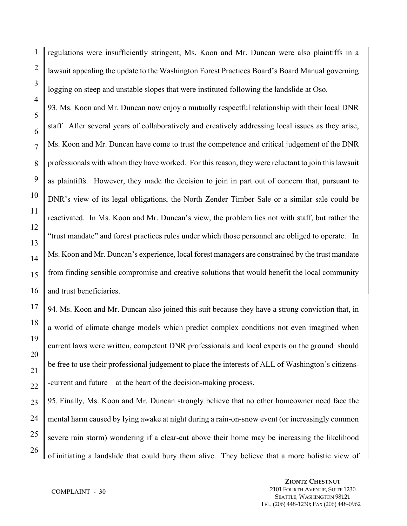regulations were insufficiently stringent, Ms. Koon and Mr. Duncan were also plaintiffs in a lawsuit appealing the update to the Washington Forest Practices Board's Board Manual governing logging on steep and unstable slopes that were instituted following the landslide at Oso.

93. Ms. Koon and Mr. Duncan now enjoy a mutually respectful relationship with their local DNR staff. After several years of collaboratively and creatively addressing local issues as they arise, Ms. Koon and Mr. Duncan have come to trust the competence and critical judgement of the DNR professionals with whom they have worked. For this reason, they were reluctant to join this lawsuit as plaintiffs. However, they made the decision to join in part out of concern that, pursuant to DNR's view of its legal obligations, the North Zender Timber Sale or a similar sale could be reactivated. In Ms. Koon and Mr. Duncan's view, the problem lies not with staff, but rather the "trust mandate" and forest practices rules under which those personnel are obliged to operate. In Ms. Koon and Mr. Duncan's experience, local forest managers are constrained by the trust mandate from finding sensible compromise and creative solutions that would benefit the local community and trust beneficiaries.

94. Ms. Koon and Mr. Duncan also joined this suit because they have a strong conviction that, in a world of climate change models which predict complex conditions not even imagined when current laws were written, competent DNR professionals and local experts on the ground should be free to use their professional judgement to place the interests of ALL of Washington's citizens- -current and future—at the heart of the decision-making process.

95. Finally, Ms. Koon and Mr. Duncan strongly believe that no other homeowner need face the mental harm caused by lying awake at night during a rain-on-snow event (or increasingly common severe rain storm) wondering if a clear-cut above their home may be increasing the likelihood of initiating a landslide that could bury them alive. They believe that a more holistic view of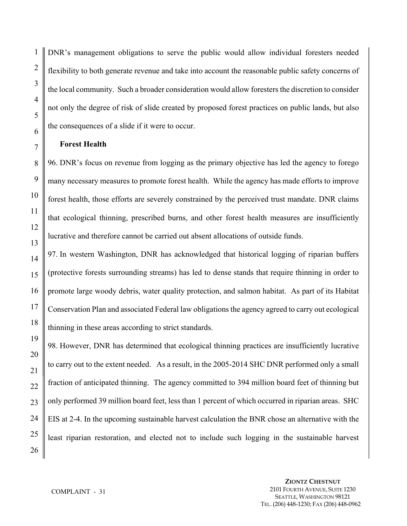DNR's management obligations to serve the public would allow individual foresters needed flexibility to both generate revenue and take into account the reasonable public safety concerns of the local community. Such a broader consideration would allow foresters the discretion to consider not only the degree of risk of slide created by proposed forest practices on public lands, but also the consequences of a slide if it were to occur.

#### **Forest Health**

96. DNR's focus on revenue from logging as the primary objective has led the agency to forego many necessary measures to promote forest health. While the agency has made efforts to improve forest health, those efforts are severely constrained by the perceived trust mandate. DNR claims that ecological thinning, prescribed burns, and other forest health measures are insufficiently lucrative and therefore cannot be carried out absent allocations of outside funds.

97. In western Washington, DNR has acknowledged that historical logging of riparian buffers (protective forests surrounding streams) has led to dense stands that require thinning in order to promote large woody debris, water quality protection, and salmon habitat. As part of its Habitat Conservation Plan and associated Federal law obligations the agency agreed to carry out ecological thinning in these areas according to strict standards.

98. However, DNR has determined that ecological thinning practices are insufficiently lucrative to carry out to the extent needed. As a result, in the 2005-2014 SHC DNR performed only a small fraction of anticipated thinning. The agency committed to 394 million board feet of thinning but only performed 39 million board feet, less than 1 percent of which occurred in riparian areas. SHC EIS at 2-4. In the upcoming sustainable harvest calculation the BNR chose an alternative with the least riparian restoration, and elected not to include such logging in the sustainable harvest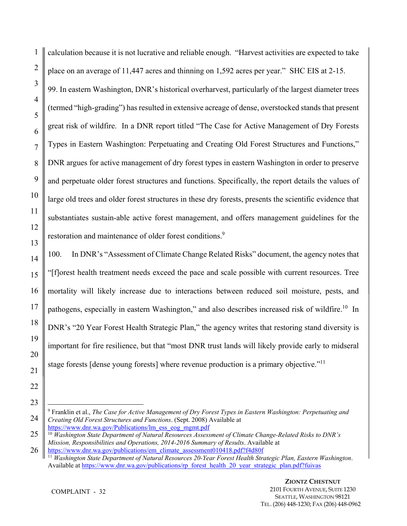calculation because it is not lucrative and reliable enough. "Harvest activities are expected to take place on an average of 11,447 acres and thinning on 1,592 acres per year." SHC EIS at 2-15. 99. In eastern Washington, DNR's historical overharvest, particularly of the largest diameter trees (termed "high-grading") has resulted in extensive acreage of dense, overstocked stands that present great risk of wildfire. In a DNR report titled "The Case for Active Management of Dry Forests Types in Eastern Washington: Perpetuating and Creating Old Forest Structures and Functions," DNR argues for active management of dry forest types in eastern Washington in order to preserve and perpetuate older forest structures and functions. Specifically, the report details the values of large old trees and older forest structures in these dry forests, presents the scientific evidence that substantiates sustain-able active forest management, and offers management guidelines for the restoration and maintenance of older forest conditions.<sup>9</sup>

100. In DNR's "Assessment of Climate Change Related Risks" document, the agency notes that "[f]orest health treatment needs exceed the pace and scale possible with current resources. Tree mortality will likely increase due to interactions between reduced soil moisture, pests, and pathogens, especially in eastern Washington," and also describes increased risk of wildfire.<sup>10</sup> In DNR's "20 Year Forest Health Strategic Plan," the agency writes that restoring stand diversity is important for fire resilience, but that "most DNR trust lands will likely provide early to midseral stage forests [dense young forests] where revenue production is a primary objective."<sup>11</sup>

 $\overline{a}$ 9 Franklin et al., *The Case for Active Management of Dry Forest Types in Eastern Washington: Perpetuating and Creating Old Forest Structures and Functions*. (Sept. 2008) Available at https://www.dnr.wa.gov/Publications/lm\_ess\_eog\_mgmt.pdf

<sup>10</sup> *Washington State Department of Natural Resources Assessment of Climate Change-Related Risks to DNR's Mission, Responsibilities and Operations, 2014-2016 Summary of Results*. Available at https://www.dnr.wa.gov/publications/em\_climate\_assessment010418.pdf?f4d80f

<sup>11</sup> *Washington State Department of Natural Resources 20-Year Forest Health Strategic Plan, Eastern Washington*. Available at https://www.dnr.wa.gov/publications/rp\_forest\_health\_20\_year\_strategic\_plan.pdf?fuivas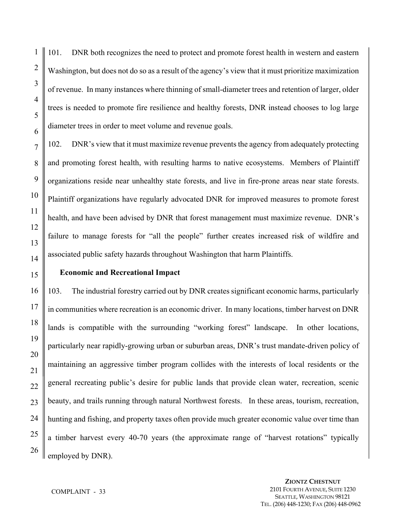101. DNR both recognizes the need to protect and promote forest health in western and eastern Washington, but does not do so as a result of the agency's view that it must prioritize maximization of revenue. In many instances where thinning of small-diameter trees and retention of larger, older trees is needed to promote fire resilience and healthy forests, DNR instead chooses to log large diameter trees in order to meet volume and revenue goals.

102. DNR's view that it must maximize revenue prevents the agency from adequately protecting and promoting forest health, with resulting harms to native ecosystems. Members of Plaintiff organizations reside near unhealthy state forests, and live in fire-prone areas near state forests. Plaintiff organizations have regularly advocated DNR for improved measures to promote forest health, and have been advised by DNR that forest management must maximize revenue. DNR's failure to manage forests for "all the people" further creates increased risk of wildfire and associated public safety hazards throughout Washington that harm Plaintiffs.

#### **Economic and Recreational Impact**

103. The industrial forestry carried out by DNR creates significant economic harms, particularly in communities where recreation is an economic driver. In many locations, timber harvest on DNR lands is compatible with the surrounding "working forest" landscape. In other locations, particularly near rapidly-growing urban or suburban areas, DNR's trust mandate-driven policy of maintaining an aggressive timber program collides with the interests of local residents or the general recreating public's desire for public lands that provide clean water, recreation, scenic beauty, and trails running through natural Northwest forests. In these areas, tourism, recreation, hunting and fishing, and property taxes often provide much greater economic value over time than a timber harvest every 40-70 years (the approximate range of "harvest rotations" typically employed by DNR).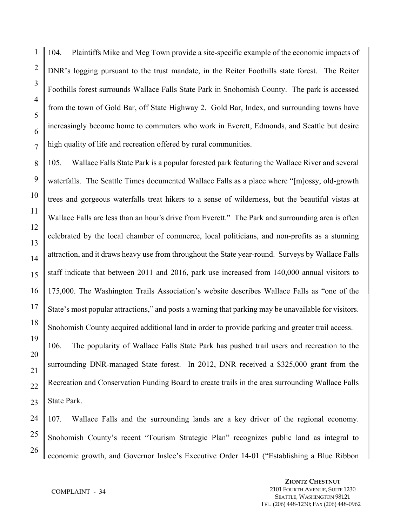104. Plaintiffs Mike and Meg Town provide a site-specific example of the economic impacts of DNR's logging pursuant to the trust mandate, in the Reiter Foothills state forest. The Reiter Foothills forest surrounds Wallace Falls State Park in Snohomish County. The park is accessed from the town of Gold Bar, off State Highway 2. Gold Bar, Index, and surrounding towns have increasingly become home to commuters who work in Everett, Edmonds, and Seattle but desire high quality of life and recreation offered by rural communities.

105. Wallace Falls State Park is a popular forested park featuring the Wallace River and several waterfalls. The Seattle Times documented Wallace Falls as a place where "[m]ossy, old-growth trees and gorgeous waterfalls treat hikers to a sense of wilderness, but the beautiful vistas at Wallace Falls are less than an hour's drive from Everett." The Park and surrounding area is often celebrated by the local chamber of commerce, local politicians, and non-profits as a stunning attraction, and it draws heavy use from throughout the State year-round. Surveys by Wallace Falls staff indicate that between 2011 and 2016, park use increased from 140,000 annual visitors to 175,000. The Washington Trails Association's website describes Wallace Falls as "one of the State's most popular attractions," and posts a warning that parking may be unavailable for visitors. Snohomish County acquired additional land in order to provide parking and greater trail access. 106. The popularity of Wallace Falls State Park has pushed trail users and recreation to the

surrounding DNR-managed State forest. In 2012, DNR received a \$325,000 grant from the Recreation and Conservation Funding Board to create trails in the area surrounding Wallace Falls State Park.

107. Wallace Falls and the surrounding lands are a key driver of the regional economy. Snohomish County's recent "Tourism Strategic Plan" recognizes public land as integral to economic growth, and Governor Inslee's Executive Order 14-01 ("Establishing a Blue Ribbon

1

2

3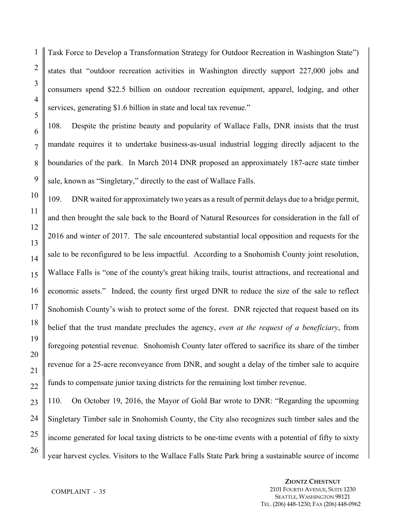1 2 Task Force to Develop a Transformation Strategy for Outdoor Recreation in Washington State") states that "outdoor recreation activities in Washington directly support 227,000 jobs and consumers spend \$22.5 billion on outdoor recreation equipment, apparel, lodging, and other services, generating \$1.6 billion in state and local tax revenue."

108. Despite the pristine beauty and popularity of Wallace Falls, DNR insists that the trust mandate requires it to undertake business-as-usual industrial logging directly adjacent to the boundaries of the park. In March 2014 DNR proposed an approximately 187-acre state timber sale, known as "Singletary," directly to the east of Wallace Falls.

109. DNR waited for approximately two years as a result of permit delays due to a bridge permit, and then brought the sale back to the Board of Natural Resources for consideration in the fall of 2016 and winter of 2017. The sale encountered substantial local opposition and requests for the sale to be reconfigured to be less impactful. According to a Snohomish County joint resolution, Wallace Falls is "one of the county's great hiking trails, tourist attractions, and recreational and economic assets." Indeed, the county first urged DNR to reduce the size of the sale to reflect Snohomish County's wish to protect some of the forest. DNR rejected that request based on its belief that the trust mandate precludes the agency, *even at the request of a beneficiary*, from foregoing potential revenue. Snohomish County later offered to sacrifice its share of the timber revenue for a 25-acre reconveyance from DNR, and sought a delay of the timber sale to acquire funds to compensate junior taxing districts for the remaining lost timber revenue.

110. On October 19, 2016, the Mayor of Gold Bar wrote to DNR: "Regarding the upcoming Singletary Timber sale in Snohomish County, the City also recognizes such timber sales and the income generated for local taxing districts to be one-time events with a potential of fifty to sixty year harvest cycles. Visitors to the Wallace Falls State Park bring a sustainable source of income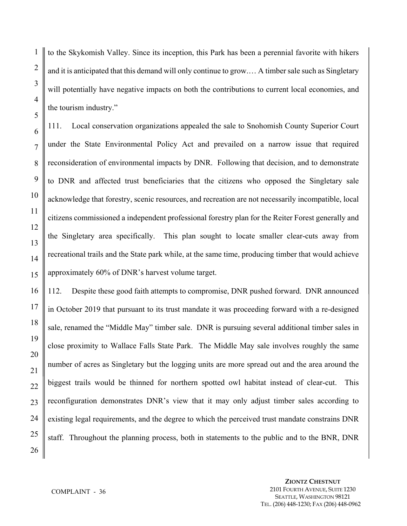to the Skykomish Valley. Since its inception, this Park has been a perennial favorite with hikers and it is anticipated that this demand will only continue to grow.… A timber sale such as Singletary will potentially have negative impacts on both the contributions to current local economies, and the tourism industry."

111. Local conservation organizations appealed the sale to Snohomish County Superior Court under the State Environmental Policy Act and prevailed on a narrow issue that required reconsideration of environmental impacts by DNR. Following that decision, and to demonstrate to DNR and affected trust beneficiaries that the citizens who opposed the Singletary sale acknowledge that forestry, scenic resources, and recreation are not necessarily incompatible, local citizens commissioned a independent professional forestry plan for the Reiter Forest generally and the Singletary area specifically. This plan sought to locate smaller clear-cuts away from recreational trails and the State park while, at the same time, producing timber that would achieve approximately 60% of DNR's harvest volume target.

112. Despite these good faith attempts to compromise, DNR pushed forward. DNR announced in October 2019 that pursuant to its trust mandate it was proceeding forward with a re-designed sale, renamed the "Middle May" timber sale. DNR is pursuing several additional timber sales in close proximity to Wallace Falls State Park. The Middle May sale involves roughly the same number of acres as Singletary but the logging units are more spread out and the area around the biggest trails would be thinned for northern spotted owl habitat instead of clear-cut. This reconfiguration demonstrates DNR's view that it may only adjust timber sales according to existing legal requirements, and the degree to which the perceived trust mandate constrains DNR staff. Throughout the planning process, both in statements to the public and to the BNR, DNR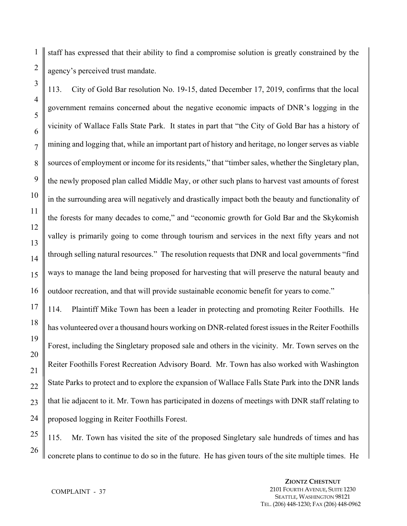1 staff has expressed that their ability to find a compromise solution is greatly constrained by the agency's perceived trust mandate.

113. City of Gold Bar resolution No. 19-15, dated December 17, 2019, confirms that the local government remains concerned about the negative economic impacts of DNR's logging in the vicinity of Wallace Falls State Park. It states in part that "the City of Gold Bar has a history of mining and logging that, while an important part of history and heritage, no longer serves as viable sources of employment or income for its residents," that "timber sales, whether the Singletary plan, the newly proposed plan called Middle May, or other such plans to harvest vast amounts of forest in the surrounding area will negatively and drastically impact both the beauty and functionality of the forests for many decades to come," and "economic growth for Gold Bar and the Skykomish valley is primarily going to come through tourism and services in the next fifty years and not through selling natural resources." The resolution requests that DNR and local governments "find ways to manage the land being proposed for harvesting that will preserve the natural beauty and outdoor recreation, and that will provide sustainable economic benefit for years to come."

114. Plaintiff Mike Town has been a leader in protecting and promoting Reiter Foothills. He has volunteered over a thousand hours working on DNR-related forest issues in the Reiter Foothills Forest, including the Singletary proposed sale and others in the vicinity. Mr. Town serves on the Reiter Foothills Forest Recreation Advisory Board. Mr. Town has also worked with Washington State Parks to protect and to explore the expansion of Wallace Falls State Park into the DNR lands that lie adjacent to it. Mr. Town has participated in dozens of meetings with DNR staff relating to proposed logging in Reiter Foothills Forest.

115. Mr. Town has visited the site of the proposed Singletary sale hundreds of times and has concrete plans to continue to do so in the future. He has given tours of the site multiple times. He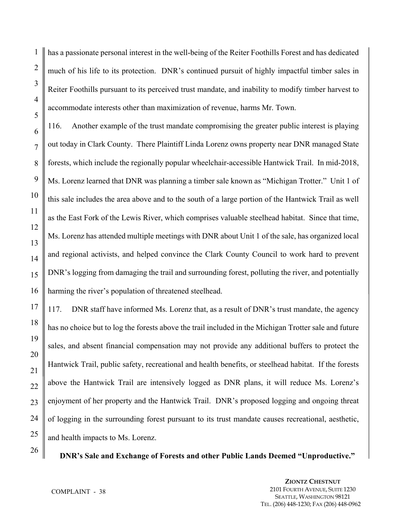has a passionate personal interest in the well-being of the Reiter Foothills Forest and has dedicated much of his life to its protection. DNR's continued pursuit of highly impactful timber sales in Reiter Foothills pursuant to its perceived trust mandate, and inability to modify timber harvest to accommodate interests other than maximization of revenue, harms Mr. Town.

116. Another example of the trust mandate compromising the greater public interest is playing out today in Clark County. There Plaintiff Linda Lorenz owns property near DNR managed State forests, which include the regionally popular wheelchair-accessible Hantwick Trail. In mid-2018, Ms. Lorenz learned that DNR was planning a timber sale known as "Michigan Trotter." Unit 1 of this sale includes the area above and to the south of a large portion of the Hantwick Trail as well as the East Fork of the Lewis River, which comprises valuable steelhead habitat. Since that time, Ms. Lorenz has attended multiple meetings with DNR about Unit 1 of the sale, has organized local and regional activists, and helped convince the Clark County Council to work hard to prevent DNR's logging from damaging the trail and surrounding forest, polluting the river, and potentially harming the river's population of threatened steelhead.

117. DNR staff have informed Ms. Lorenz that, as a result of DNR's trust mandate, the agency has no choice but to log the forests above the trail included in the Michigan Trotter sale and future sales, and absent financial compensation may not provide any additional buffers to protect the Hantwick Trail, public safety, recreational and health benefits, or steelhead habitat. If the forests above the Hantwick Trail are intensively logged as DNR plans, it will reduce Ms. Lorenz's enjoyment of her property and the Hantwick Trail. DNR's proposed logging and ongoing threat of logging in the surrounding forest pursuant to its trust mandate causes recreational, aesthetic, and health impacts to Ms. Lorenz.

 **DNR's Sale and Exchange of Forests and other Public Lands Deemed "Unproductive."**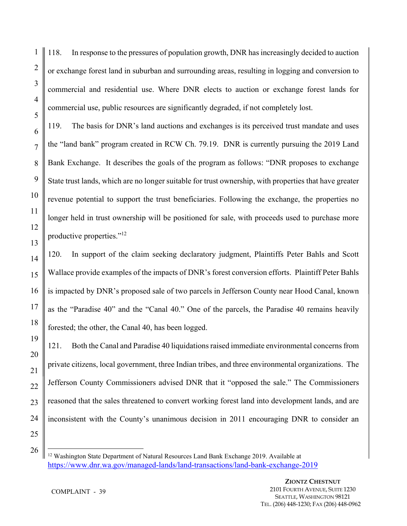118. In response to the pressures of population growth, DNR has increasingly decided to auction or exchange forest land in suburban and surrounding areas, resulting in logging and conversion to commercial and residential use. Where DNR elects to auction or exchange forest lands for commercial use, public resources are significantly degraded, if not completely lost.

119. The basis for DNR's land auctions and exchanges is its perceived trust mandate and uses the "land bank" program created in RCW Ch. 79.19. DNR is currently pursuing the 2019 Land Bank Exchange. It describes the goals of the program as follows: "DNR proposes to exchange State trust lands, which are no longer suitable for trust ownership, with properties that have greater revenue potential to support the trust beneficiaries. Following the exchange, the properties no longer held in trust ownership will be positioned for sale, with proceeds used to purchase more productive properties."12

120. In support of the claim seeking declaratory judgment, Plaintiffs Peter Bahls and Scott Wallace provide examples of the impacts of DNR's forest conversion efforts. Plaintiff Peter Bahls is impacted by DNR's proposed sale of two parcels in Jefferson County near Hood Canal, known as the "Paradise 40" and the "Canal 40." One of the parcels, the Paradise 40 remains heavily forested; the other, the Canal 40, has been logged.

121. Both the Canal and Paradise 40 liquidations raised immediate environmental concerns from private citizens, local government, three Indian tribes, and three environmental organizations. The Jefferson County Commissioners advised DNR that it "opposed the sale." The Commissioners reasoned that the sales threatened to convert working forest land into development lands, and are inconsistent with the County's unanimous decision in 2011 encouraging DNR to consider an

25 26

 $\overline{a}$ 

1

2

3

4

5

6

7

8

9

10

11

12

13

14

15

16

17

18

19

20

21

22

23

<sup>&</sup>lt;sup>12</sup> Washington State Department of Natural Resources Land Bank Exchange 2019. Available at https://www.dnr.wa.gov/managed-lands/land-transactions/land-bank-exchange-2019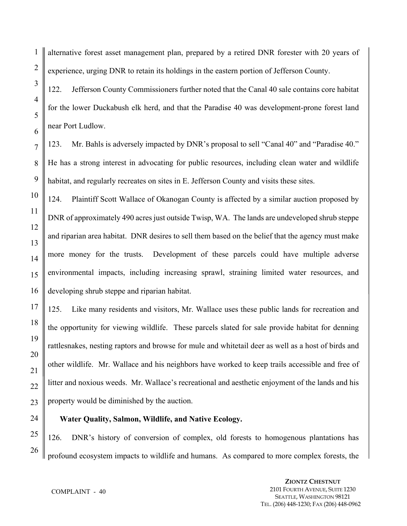1

2

3

alternative forest asset management plan, prepared by a retired DNR forester with 20 years of experience, urging DNR to retain its holdings in the eastern portion of Jefferson County.

122. Jefferson County Commissioners further noted that the Canal 40 sale contains core habitat for the lower Duckabush elk herd, and that the Paradise 40 was development-prone forest land near Port Ludlow.

123. Mr. Bahls is adversely impacted by DNR's proposal to sell "Canal 40" and "Paradise 40." He has a strong interest in advocating for public resources, including clean water and wildlife habitat, and regularly recreates on sites in E. Jefferson County and visits these sites.

124. Plaintiff Scott Wallace of Okanogan County is affected by a similar auction proposed by DNR of approximately 490 acres just outside Twisp, WA. The lands are undeveloped shrub steppe and riparian area habitat. DNR desires to sell them based on the belief that the agency must make more money for the trusts. Development of these parcels could have multiple adverse environmental impacts, including increasing sprawl, straining limited water resources, and developing shrub steppe and riparian habitat.

125. Like many residents and visitors, Mr. Wallace uses these public lands for recreation and the opportunity for viewing wildlife. These parcels slated for sale provide habitat for denning rattlesnakes, nesting raptors and browse for mule and whitetail deer as well as a host of birds and other wildlife. Mr. Wallace and his neighbors have worked to keep trails accessible and free of litter and noxious weeds. Mr. Wallace's recreational and aesthetic enjoyment of the lands and his property would be diminished by the auction.

#### **Water Quality, Salmon, Wildlife, and Native Ecology.**

126. DNR's history of conversion of complex, old forests to homogenous plantations has profound ecosystem impacts to wildlife and humans. As compared to more complex forests, the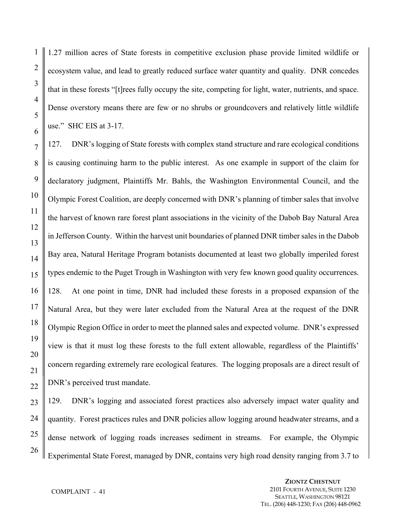1.27 million acres of State forests in competitive exclusion phase provide limited wildlife or ecosystem value, and lead to greatly reduced surface water quantity and quality. DNR concedes that in these forests "[t]rees fully occupy the site, competing for light, water, nutrients, and space. Dense overstory means there are few or no shrubs or groundcovers and relatively little wildlife use." SHC EIS at 3-17.

127. DNR's logging of State forests with complex stand structure and rare ecological conditions is causing continuing harm to the public interest. As one example in support of the claim for declaratory judgment, Plaintiffs Mr. Bahls, the Washington Environmental Council, and the Olympic Forest Coalition, are deeply concerned with DNR's planning of timber sales that involve the harvest of known rare forest plant associations in the vicinity of the Dabob Bay Natural Area in Jefferson County. Within the harvest unit boundaries of planned DNR timber sales in the Dabob Bay area, Natural Heritage Program botanists documented at least two globally imperiled forest types endemic to the Puget Trough in Washington with very few known good quality occurrences. 128. At one point in time, DNR had included these forests in a proposed expansion of the Natural Area, but they were later excluded from the Natural Area at the request of the DNR Olympic Region Office in order to meet the planned sales and expected volume. DNR's expressed view is that it must log these forests to the full extent allowable, regardless of the Plaintiffs' concern regarding extremely rare ecological features. The logging proposals are a direct result of DNR's perceived trust mandate.

129. DNR's logging and associated forest practices also adversely impact water quality and quantity. Forest practices rules and DNR policies allow logging around headwater streams, and a dense network of logging roads increases sediment in streams. For example, the Olympic Experimental State Forest, managed by DNR, contains very high road density ranging from 3.7 to

1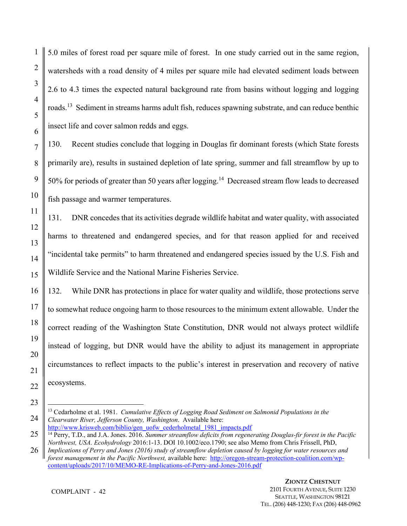5.0 miles of forest road per square mile of forest. In one study carried out in the same region, watersheds with a road density of 4 miles per square mile had elevated sediment loads between 2.6 to 4.3 times the expected natural background rate from basins without logging and logging roads.13 Sediment in streams harms adult fish, reduces spawning substrate, and can reduce benthic insect life and cover salmon redds and eggs.

130. Recent studies conclude that logging in Douglas fir dominant forests (which State forests primarily are), results in sustained depletion of late spring, summer and fall streamflow by up to 50% for periods of greater than 50 years after logging.<sup>14</sup> Decreased stream flow leads to decreased fish passage and warmer temperatures.

131. DNR concedes that its activities degrade wildlife habitat and water quality, with associated harms to threatened and endangered species, and for that reason applied for and received "incidental take permits" to harm threatened and endangered species issued by the U.S. Fish and Wildlife Service and the National Marine Fisheries Service.

132. While DNR has protections in place for water quality and wildlife, those protections serve to somewhat reduce ongoing harm to those resources to the minimum extent allowable. Under the correct reading of the Washington State Constitution, DNR would not always protect wildlife instead of logging, but DNR would have the ability to adjust its management in appropriate circumstances to reflect impacts to the public's interest in preservation and recovery of native ecosystems.

<sup>14</sup> Perry, T.D., and J.A. Jones. 2016. *Summer streamflow deficits from regenerating Douglas-fir forest in the Pacific Northwest, USA. Ecohydrology* 2016:1-13. DOI 10.1002/eco.1790; see also Memo from Chris Frissell, PhD,

 $\overline{a}$ 13 Cedarholme et al. 1981. *Cumulative Effects of Logging Road Sediment on Salmonid Populations in the Clearwater River, Jefferson County, Washington*. Available here: http://www.krisweb.com/biblio/gen\_uofw\_cederholmetal\_1981\_impacts.pdf

*Implications of Perry and Jones (2016) study of streamflow depletion caused by logging for water resources and forest management in the Pacific Northwest,* available here: http://oregon-stream-protection-coalition.com/wpcontent/uploads/2017/10/MEMO-RE-Implications-of-Perry-and-Jones-2016.pdf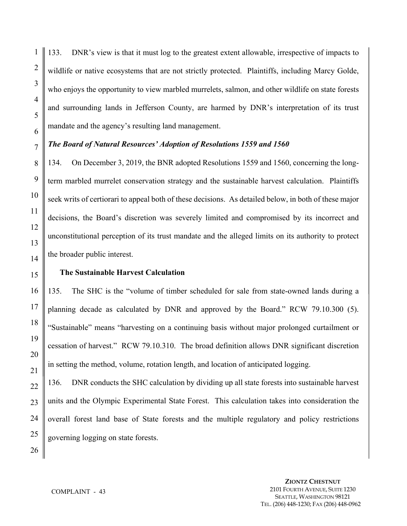133. DNR's view is that it must log to the greatest extent allowable, irrespective of impacts to wildlife or native ecosystems that are not strictly protected. Plaintiffs, including Marcy Golde, who enjoys the opportunity to view marbled murrelets, salmon, and other wildlife on state forests and surrounding lands in Jefferson County, are harmed by DNR's interpretation of its trust mandate and the agency's resulting land management.

#### *The Board of Natural Resources' Adoption of Resolutions 1559 and 1560*

134. On December 3, 2019, the BNR adopted Resolutions 1559 and 1560, concerning the longterm marbled murrelet conservation strategy and the sustainable harvest calculation. Plaintiffs seek writs of certiorari to appeal both of these decisions. As detailed below, in both of these major decisions, the Board's discretion was severely limited and compromised by its incorrect and unconstitutional perception of its trust mandate and the alleged limits on its authority to protect the broader public interest.

#### **The Sustainable Harvest Calculation**

135. The SHC is the "volume of timber scheduled for sale from state-owned lands during a planning decade as calculated by DNR and approved by the Board." RCW 79.10.300 (5). "Sustainable" means "harvesting on a continuing basis without major prolonged curtailment or cessation of harvest." RCW 79.10.310. The broad definition allows DNR significant discretion in setting the method, volume, rotation length, and location of anticipated logging.

136. DNR conducts the SHC calculation by dividing up all state forests into sustainable harvest units and the Olympic Experimental State Forest. This calculation takes into consideration the overall forest land base of State forests and the multiple regulatory and policy restrictions governing logging on state forests.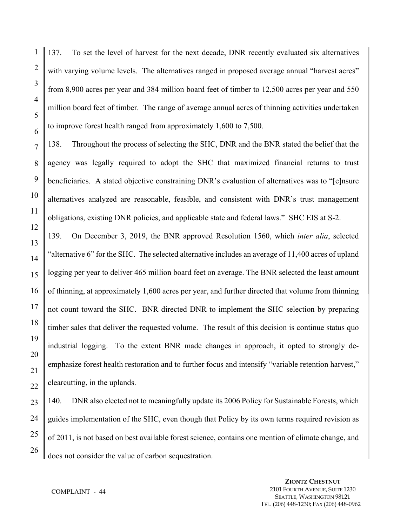137. To set the level of harvest for the next decade, DNR recently evaluated six alternatives with varying volume levels. The alternatives ranged in proposed average annual "harvest acres" from 8,900 acres per year and 384 million board feet of timber to 12,500 acres per year and 550 million board feet of timber. The range of average annual acres of thinning activities undertaken to improve forest health ranged from approximately 1,600 to 7,500.

138. Throughout the process of selecting the SHC, DNR and the BNR stated the belief that the agency was legally required to adopt the SHC that maximized financial returns to trust beneficiaries. A stated objective constraining DNR's evaluation of alternatives was to "[e]nsure alternatives analyzed are reasonable, feasible, and consistent with DNR's trust management obligations, existing DNR policies, and applicable state and federal laws." SHC EIS at S-2.

139. On December 3, 2019, the BNR approved Resolution 1560, which *inter alia*, selected "alternative 6" for the SHC. The selected alternative includes an average of 11,400 acres of upland logging per year to deliver 465 million board feet on average. The BNR selected the least amount of thinning, at approximately 1,600 acres per year, and further directed that volume from thinning not count toward the SHC. BNR directed DNR to implement the SHC selection by preparing timber sales that deliver the requested volume. The result of this decision is continue status quo industrial logging. To the extent BNR made changes in approach, it opted to strongly deemphasize forest health restoration and to further focus and intensify "variable retention harvest," clearcutting, in the uplands.

140. DNR also elected not to meaningfully update its 2006 Policy for Sustainable Forests, which guides implementation of the SHC, even though that Policy by its own terms required revision as of 2011, is not based on best available forest science, contains one mention of climate change, and does not consider the value of carbon sequestration.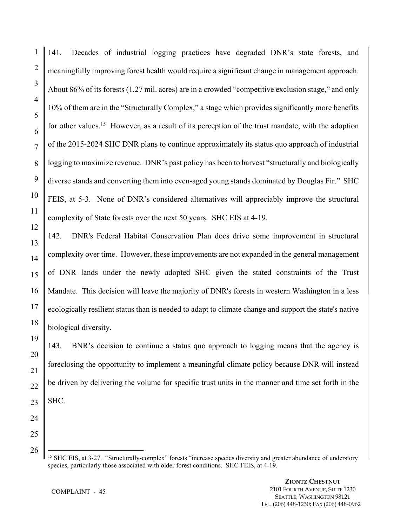141. Decades of industrial logging practices have degraded DNR's state forests, and meaningfully improving forest health would require a significant change in management approach. About 86% of its forests (1.27 mil. acres) are in a crowded "competitive exclusion stage," and only 10% of them are in the "Structurally Complex," a stage which provides significantly more benefits for other values.<sup>15</sup> However, as a result of its perception of the trust mandate, with the adoption of the 2015-2024 SHC DNR plans to continue approximately its status quo approach of industrial logging to maximize revenue. DNR's past policy has been to harvest "structurally and biologically diverse stands and converting them into even-aged young stands dominated by Douglas Fir." SHC FEIS, at 5-3. None of DNR's considered alternatives will appreciably improve the structural complexity of State forests over the next 50 years. SHC EIS at 4-19.

142. DNR's Federal Habitat Conservation Plan does drive some improvement in structural complexity over time. However, these improvements are not expanded in the general management of DNR lands under the newly adopted SHC given the stated constraints of the Trust Mandate. This decision will leave the majority of DNR's forests in western Washington in a less ecologically resilient status than is needed to adapt to climate change and support the state's native biological diversity.

143. BNR's decision to continue a status quo approach to logging means that the agency is foreclosing the opportunity to implement a meaningful climate policy because DNR will instead be driven by delivering the volume for specific trust units in the manner and time set forth in the SHC.

24 25 26

 $\overline{a}$ 

1

2

3

4

5

6

7

8

9

10

11

12

13

14

15

16

17

18

19

20

21

22

<sup>&</sup>lt;sup>15</sup> SHC EIS, at 3-27. "Structurally-complex" forests "increase species diversity and greater abundance of understory species, particularly those associated with older forest conditions. SHC FEIS, at 4-19.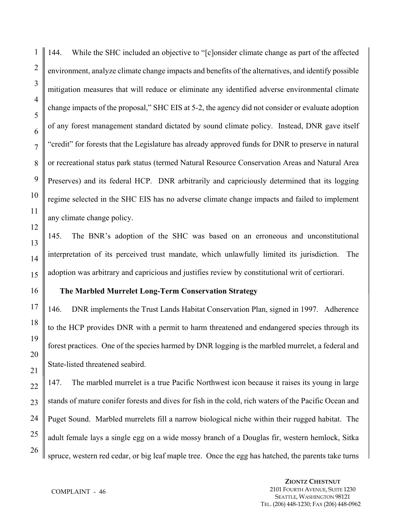144. While the SHC included an objective to "[c]onsider climate change as part of the affected environment, analyze climate change impacts and benefits of the alternatives, and identify possible mitigation measures that will reduce or eliminate any identified adverse environmental climate change impacts of the proposal," SHC EIS at 5-2, the agency did not consider or evaluate adoption of any forest management standard dictated by sound climate policy. Instead, DNR gave itself "credit" for forests that the Legislature has already approved funds for DNR to preserve in natural or recreational status park status (termed Natural Resource Conservation Areas and Natural Area Preserves) and its federal HCP. DNR arbitrarily and capriciously determined that its logging regime selected in the SHC EIS has no adverse climate change impacts and failed to implement any climate change policy.

145. The BNR's adoption of the SHC was based on an erroneous and unconstitutional interpretation of its perceived trust mandate, which unlawfully limited its jurisdiction. The adoption was arbitrary and capricious and justifies review by constitutional writ of certiorari.

#### **The Marbled Murrelet Long-Term Conservation Strategy**

146. DNR implements the Trust Lands Habitat Conservation Plan, signed in 1997. Adherence to the HCP provides DNR with a permit to harm threatened and endangered species through its forest practices. One of the species harmed by DNR logging is the marbled murrelet, a federal and State-listed threatened seabird.

147. The marbled murrelet is a true Pacific Northwest icon because it raises its young in large stands of mature conifer forests and dives for fish in the cold, rich waters of the Pacific Ocean and Puget Sound. Marbled murrelets fill a narrow biological niche within their rugged habitat. The adult female lays a single egg on a wide mossy branch of a Douglas fir, western hemlock, Sitka spruce, western red cedar, or big leaf maple tree. Once the egg has hatched, the parents take turns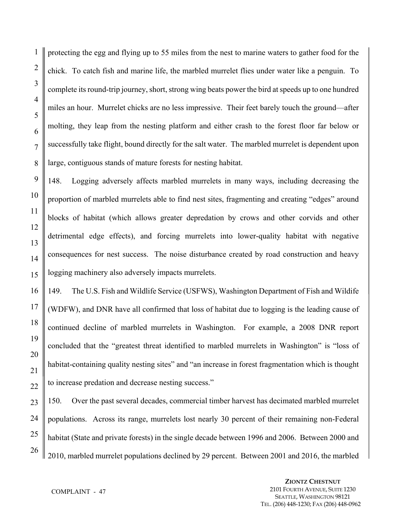protecting the egg and flying up to 55 miles from the nest to marine waters to gather food for the chick. To catch fish and marine life, the marbled murrelet flies under water like a penguin. To complete its round-trip journey, short, strong wing beats power the bird at speeds up to one hundred miles an hour. Murrelet chicks are no less impressive. Their feet barely touch the ground—after molting, they leap from the nesting platform and either crash to the forest floor far below or successfully take flight, bound directly for the salt water. The marbled murrelet is dependent upon large, contiguous stands of mature forests for nesting habitat.

148. Logging adversely affects marbled murrelets in many ways, including decreasing the proportion of marbled murrelets able to find nest sites, fragmenting and creating "edges" around blocks of habitat (which allows greater depredation by crows and other corvids and other detrimental edge effects), and forcing murrelets into lower-quality habitat with negative consequences for nest success. The noise disturbance created by road construction and heavy logging machinery also adversely impacts murrelets.

149. The U.S. Fish and Wildlife Service (USFWS), Washington Department of Fish and Wildife (WDFW), and DNR have all confirmed that loss of habitat due to logging is the leading cause of continued decline of marbled murrelets in Washington. For example, a 2008 DNR report concluded that the "greatest threat identified to marbled murrelets in Washington" is "loss of habitat-containing quality nesting sites" and "an increase in forest fragmentation which is thought to increase predation and decrease nesting success."

150. Over the past several decades, commercial timber harvest has decimated marbled murrelet populations. Across its range, murrelets lost nearly 30 percent of their remaining non-Federal habitat (State and private forests) in the single decade between 1996 and 2006. Between 2000 and 2010, marbled murrelet populations declined by 29 percent. Between 2001 and 2016, the marbled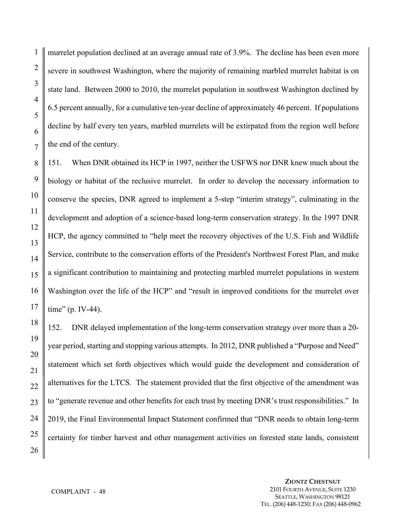murrelet population declined at an average annual rate of 3.9%. The decline has been even more severe in southwest Washington, where the majority of remaining marbled murrelet habitat is on state land. Between 2000 to 2010, the murrelet population in southwest Washington declined by 6.5 percent annually, for a cumulative ten-year decline of approximately 46 percent. If populations decline by half every ten years, marbled murrelets will be extirpated from the region well before the end of the century.

151. When DNR obtained its HCP in 1997, neither the USFWS nor DNR knew much about the biology or habitat of the reclusive murrelet. In order to develop the necessary information to conserve the species, DNR agreed to implement a 5-step "interim strategy", culminating in the development and adoption of a science-based long-term conservation strategy. In the 1997 DNR HCP, the agency committed to "help meet the recovery objectives of the U.S. Fish and Wildlife Service, contribute to the conservation efforts of the President's Northwest Forest Plan, and make a significant contribution to maintaining and protecting marbled murrelet populations in western Washington over the life of the HCP" and "result in improved conditions for the murrelet over time" (p. IV-44).

152. DNR delayed implementation of the long-term conservation strategy over more than a 20 year period, starting and stopping various attempts. In 2012, DNR published a "Purpose and Need" statement which set forth objectives which would guide the development and consideration of alternatives for the LTCS. The statement provided that the first objective of the amendment was to "generate revenue and other benefits for each trust by meeting DNR's trust responsibilities." In 2019, the Final Environmental Impact Statement confirmed that "DNR needs to obtain long-term certainty for timber harvest and other management activities on forested state lands, consistent

1

2

3

4

5

6

7

8

9

10

11

12

13

14

15

16

17

18

19

20

21

22

23

24

25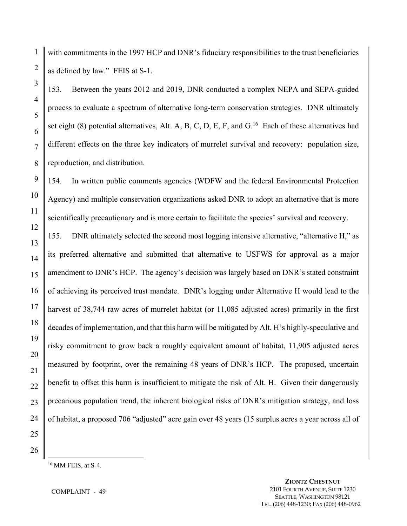1 2 with commitments in the 1997 HCP and DNR's fiduciary responsibilities to the trust beneficiaries as defined by law." FEIS at S-1.

153. Between the years 2012 and 2019, DNR conducted a complex NEPA and SEPA-guided process to evaluate a spectrum of alternative long-term conservation strategies. DNR ultimately set eight  $(8)$  potential alternatives, Alt. A, B, C, D, E, F, and G.<sup>16</sup> Each of these alternatives had different effects on the three key indicators of murrelet survival and recovery: population size, reproduction, and distribution.

154. In written public comments agencies (WDFW and the federal Environmental Protection Agency) and multiple conservation organizations asked DNR to adopt an alternative that is more scientifically precautionary and is more certain to facilitate the species' survival and recovery.

155. DNR ultimately selected the second most logging intensive alternative, "alternative H," as its preferred alternative and submitted that alternative to USFWS for approval as a major amendment to DNR's HCP. The agency's decision was largely based on DNR's stated constraint of achieving its perceived trust mandate. DNR's logging under Alternative H would lead to the harvest of 38,744 raw acres of murrelet habitat (or 11,085 adjusted acres) primarily in the first decades of implementation, and that this harm will be mitigated by Alt. H's highly-speculative and risky commitment to grow back a roughly equivalent amount of habitat, 11,905 adjusted acres measured by footprint, over the remaining 48 years of DNR's HCP. The proposed, uncertain benefit to offset this harm is insufficient to mitigate the risk of Alt. H. Given their dangerously precarious population trend, the inherent biological risks of DNR's mitigation strategy, and loss of habitat, a proposed 706 "adjusted" acre gain over 48 years (15 surplus acres a year across all of

25 26

 $\overline{a}$ 

3

4

5

6

7

8

9

10

11

12

13

14

15

16

17

18

19

20

21

22

23

24

16 MM FEIS, at S-4.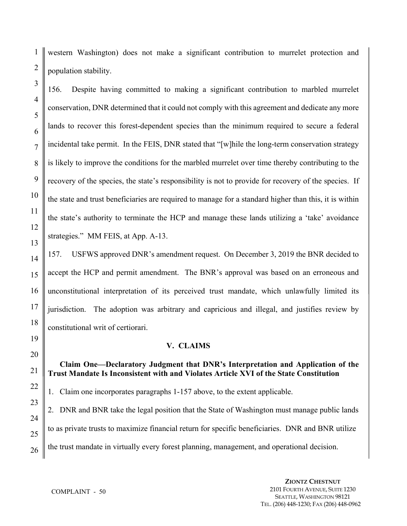1 2 western Washington) does not make a significant contribution to murrelet protection and population stability.

156. Despite having committed to making a significant contribution to marbled murrelet conservation, DNR determined that it could not comply with this agreement and dedicate any more lands to recover this forest-dependent species than the minimum required to secure a federal incidental take permit. In the FEIS, DNR stated that "[w]hile the long-term conservation strategy is likely to improve the conditions for the marbled murrelet over time thereby contributing to the recovery of the species, the state's responsibility is not to provide for recovery of the species. If the state and trust beneficiaries are required to manage for a standard higher than this, it is within the state's authority to terminate the HCP and manage these lands utilizing a 'take' avoidance strategies." MM FEIS, at App. A-13.

157. USFWS approved DNR's amendment request. On December 3, 2019 the BNR decided to accept the HCP and permit amendment. The BNR's approval was based on an erroneous and unconstitutional interpretation of its perceived trust mandate, which unlawfully limited its jurisdiction. The adoption was arbitrary and capricious and illegal, and justifies review by constitutional writ of certiorari.

## **V. CLAIMS**

# **Claim One—Declaratory Judgment that DNR's Interpretation and Application of the Trust Mandate Is Inconsistent with and Violates Article XVI of the State Constitution**

1. Claim one incorporates paragraphs 1-157 above, to the extent applicable.

2. DNR and BNR take the legal position that the State of Washington must manage public lands to as private trusts to maximize financial return for specific beneficiaries. DNR and BNR utilize the trust mandate in virtually every forest planning, management, and operational decision.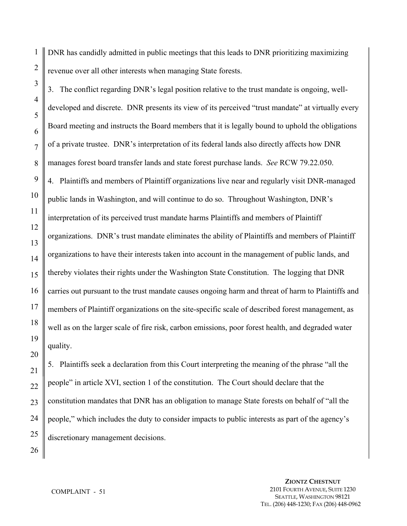1 DNR has candidly admitted in public meetings that this leads to DNR prioritizing maximizing revenue over all other interests when managing State forests.

3. The conflict regarding DNR's legal position relative to the trust mandate is ongoing, welldeveloped and discrete. DNR presents its view of its perceived "trust mandate" at virtually every Board meeting and instructs the Board members that it is legally bound to uphold the obligations of a private trustee. DNR's interpretation of its federal lands also directly affects how DNR manages forest board transfer lands and state forest purchase lands. *See* RCW 79.22.050. 4. Plaintiffs and members of Plaintiff organizations live near and regularly visit DNR-managed public lands in Washington, and will continue to do so. Throughout Washington, DNR's interpretation of its perceived trust mandate harms Plaintiffs and members of Plaintiff organizations. DNR's trust mandate eliminates the ability of Plaintiffs and members of Plaintiff organizations to have their interests taken into account in the management of public lands, and thereby violates their rights under the Washington State Constitution. The logging that DNR carries out pursuant to the trust mandate causes ongoing harm and threat of harm to Plaintiffs and members of Plaintiff organizations on the site-specific scale of described forest management, as well as on the larger scale of fire risk, carbon emissions, poor forest health, and degraded water quality.

5. Plaintiffs seek a declaration from this Court interpreting the meaning of the phrase "all the people" in article XVI, section 1 of the constitution. The Court should declare that the constitution mandates that DNR has an obligation to manage State forests on behalf of "all the people," which includes the duty to consider impacts to public interests as part of the agency's discretionary management decisions.

> **ZIONTZ CHESTNUT** 2101 FOURTH AVENUE, SUITE 1230 SEATTLE, WASHINGTON 98121 TEL. (206) 448-1230; FAX (206) 448-0962

#### COMPLAINT - 51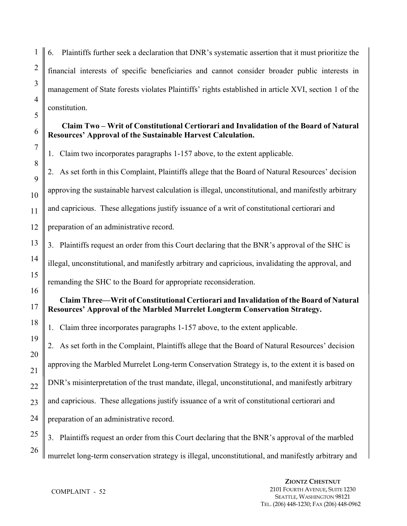6. Plaintiffs further seek a declaration that DNR's systematic assertion that it must prioritize the financial interests of specific beneficiaries and cannot consider broader public interests in management of State forests violates Plaintiffs' rights established in article XVI, section 1 of the constitution.

# **Claim Two – Writ of Constitutional Certiorari and Invalidation of the Board of Natural Resources' Approval of the Sustainable Harvest Calculation.**

1. Claim two incorporates paragraphs 1-157 above, to the extent applicable.

2. As set forth in this Complaint, Plaintiffs allege that the Board of Natural Resources' decision approving the sustainable harvest calculation is illegal, unconstitutional, and manifestly arbitrary and capricious. These allegations justify issuance of a writ of constitutional certiorari and preparation of an administrative record.

3. Plaintiffs request an order from this Court declaring that the BNR's approval of the SHC is illegal, unconstitutional, and manifestly arbitrary and capricious, invalidating the approval, and remanding the SHC to the Board for appropriate reconsideration.

# **Claim Three—Writ of Constitutional Certiorari and Invalidation of the Board of Natural Resources' Approval of the Marbled Murrelet Longterm Conservation Strategy.**

1. Claim three incorporates paragraphs 1-157 above, to the extent applicable.

2. As set forth in the Complaint, Plaintiffs allege that the Board of Natural Resources' decision approving the Marbled Murrelet Long-term Conservation Strategy is, to the extent it is based on DNR's misinterpretation of the trust mandate, illegal, unconstitutional, and manifestly arbitrary and capricious. These allegations justify issuance of a writ of constitutional certiorari and preparation of an administrative record.

25 26 3. Plaintiffs request an order from this Court declaring that the BNR's approval of the marbled murrelet long-term conservation strategy is illegal, unconstitutional, and manifestly arbitrary and

1

2

3

4

5

6

7

8

9

10

11

12

13

14

15

16

17

18

19

20

21

22

23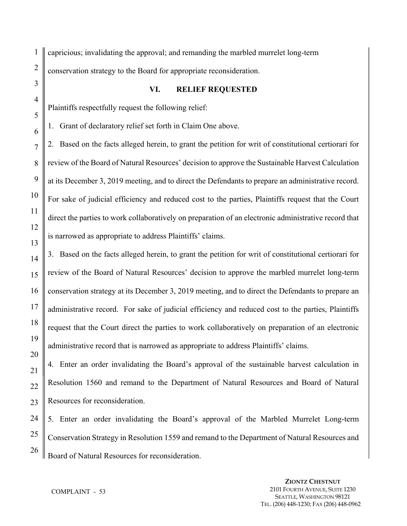1 capricious; invalidating the approval; and remanding the marbled murrelet long-term conservation strategy to the Board for appropriate reconsideration.

#### **VI. RELIEF REQUESTED**

Plaintiffs respectfully request the following relief:

1. Grant of declaratory relief set forth in Claim One above.

2. Based on the facts alleged herein, to grant the petition for writ of constitutional certiorari for review of the Board of Natural Resources' decision to approve the Sustainable Harvest Calculation at its December 3, 2019 meeting, and to direct the Defendants to prepare an administrative record. For sake of judicial efficiency and reduced cost to the parties, Plaintiffs request that the Court direct the parties to work collaboratively on preparation of an electronic administrative record that is narrowed as appropriate to address Plaintiffs' claims.

3. Based on the facts alleged herein, to grant the petition for writ of constitutional certiorari for review of the Board of Natural Resources' decision to approve the marbled murrelet long-term conservation strategy at its December 3, 2019 meeting, and to direct the Defendants to prepare an administrative record. For sake of judicial efficiency and reduced cost to the parties, Plaintiffs request that the Court direct the parties to work collaboratively on preparation of an electronic administrative record that is narrowed as appropriate to address Plaintiffs' claims.

4. Enter an order invalidating the Board's approval of the sustainable harvest calculation in Resolution 1560 and remand to the Department of Natural Resources and Board of Natural Resources for reconsideration.

5. Enter an order invalidating the Board's approval of the Marbled Murrelet Long-term Conservation Strategy in Resolution 1559 and remand to the Department of Natural Resources and Board of Natural Resources for reconsideration.